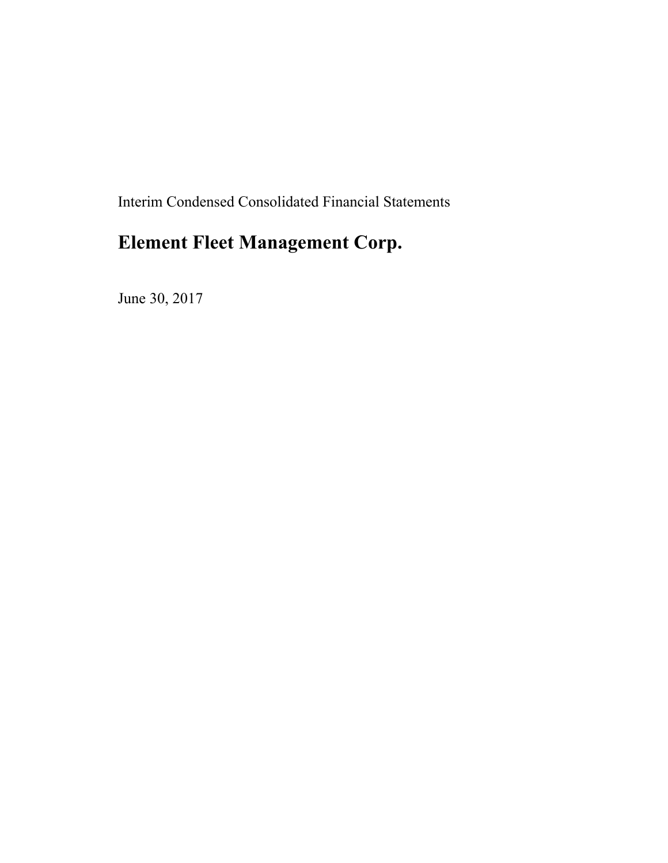Interim Condensed Consolidated Financial Statements

# **Element Fleet Management Corp.**

June 30, 2017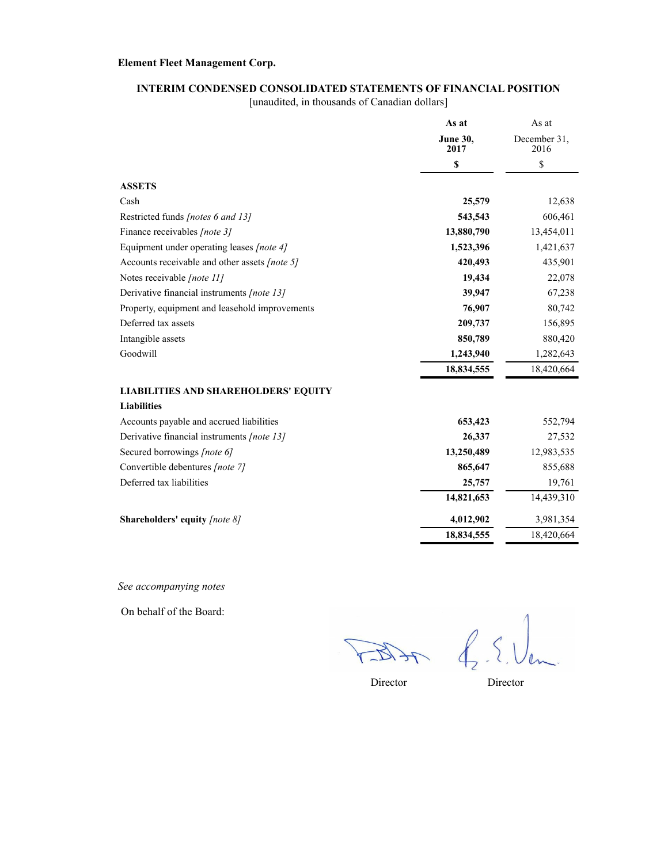#### **INTERIM CONDENSED CONSOLIDATED STATEMENTS OF FINANCIAL POSITION**

[unaudited, in thousands of Canadian dollars]

|                                                | As at                   | As at                |
|------------------------------------------------|-------------------------|----------------------|
|                                                | <b>June 30,</b><br>2017 | December 31,<br>2016 |
|                                                | \$                      | \$                   |
| <b>ASSETS</b>                                  |                         |                      |
| Cash                                           | 25,579                  | 12,638               |
| Restricted funds [notes 6 and 13]              | 543,543                 | 606,461              |
| Finance receivables [note 3]                   | 13,880,790              | 13,454,011           |
| Equipment under operating leases [note 4]      | 1,523,396               | 1,421,637            |
| Accounts receivable and other assets [note 5]  | 420,493                 | 435,901              |
| Notes receivable [note 11]                     | 19,434                  | 22,078               |
| Derivative financial instruments [note 13]     | 39,947                  | 67,238               |
| Property, equipment and leasehold improvements | 76,907                  | 80,742               |
| Deferred tax assets                            | 209,737                 | 156,895              |
| Intangible assets                              | 850,789                 | 880,420              |
| Goodwill                                       | 1,243,940               | 1,282,643            |
|                                                | 18,834,555              | 18,420,664           |
| <b>LIABILITIES AND SHAREHOLDERS' EQUITY</b>    |                         |                      |
| <b>Liabilities</b>                             |                         |                      |
| Accounts payable and accrued liabilities       | 653,423                 | 552,794              |
| Derivative financial instruments [note 13]     | 26,337                  | 27,532               |
| Secured borrowings [note 6]                    | 13,250,489              | 12,983,535           |
| Convertible debentures [note 7]                | 865,647                 | 855,688              |
| Deferred tax liabilities                       | 25,757                  | 19,761               |
|                                                | 14,821,653              | 14,439,310           |
| <b>Shareholders' equity [note 8]</b>           | 4,012,902               | 3,981,354            |
|                                                | 18,834,555              | 18,420,664           |
|                                                |                         |                      |

*See accompanying notes*

On behalf of the Board:

ACTES

 $f_{2}$  .  $\Omega$ 

Director Director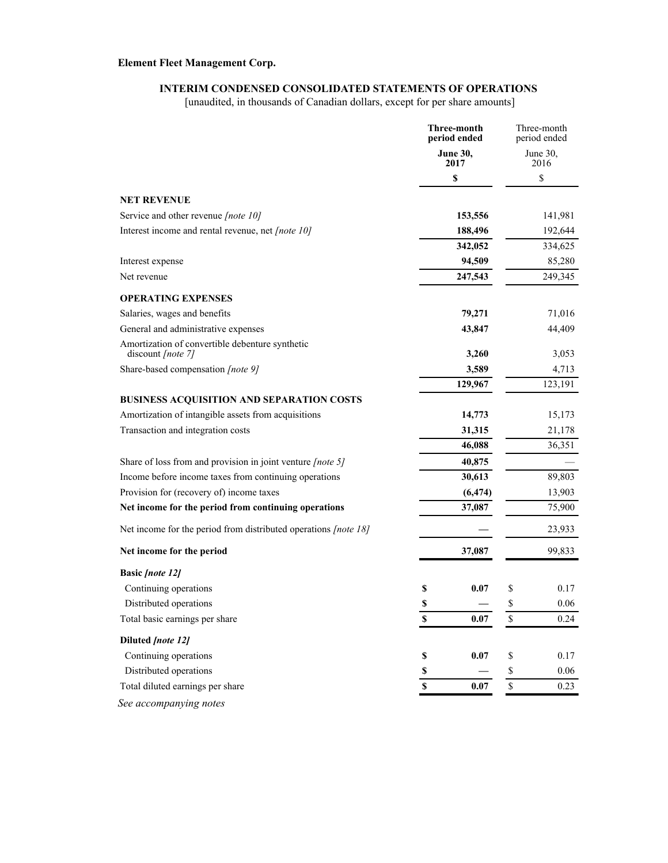### **INTERIM CONDENSED CONSOLIDATED STATEMENTS OF OPERATIONS**

[unaudited, in thousands of Canadian dollars, except for per share amounts]

|                                                                        |                    | Three-month<br>period ended |                                                                       | Three-month<br>period ended |
|------------------------------------------------------------------------|--------------------|-----------------------------|-----------------------------------------------------------------------|-----------------------------|
|                                                                        |                    | <b>June 30,</b><br>2017     |                                                                       | June 30,<br>2016            |
|                                                                        |                    | \$                          |                                                                       | \$                          |
| <b>NET REVENUE</b>                                                     |                    |                             |                                                                       |                             |
| Service and other revenue [note 10]                                    |                    | 153,556                     |                                                                       | 141,981                     |
| Interest income and rental revenue, net [note 10]                      |                    | 188,496                     |                                                                       | 192,644                     |
|                                                                        |                    | 342,052                     |                                                                       | 334,625                     |
| Interest expense                                                       |                    | 94,509                      |                                                                       | 85,280                      |
| Net revenue                                                            |                    | 247,543                     |                                                                       | 249,345                     |
| <b>OPERATING EXPENSES</b>                                              |                    |                             |                                                                       |                             |
| Salaries, wages and benefits                                           |                    | 79,271                      |                                                                       | 71,016                      |
| General and administrative expenses                                    |                    | 43,847                      |                                                                       | 44,409                      |
| Amortization of convertible debenture synthetic                        |                    |                             |                                                                       |                             |
| discount [note 7]<br>Share-based compensation [note 9]                 |                    | 3,260<br>3,589              |                                                                       | 3,053                       |
|                                                                        |                    | 129,967                     |                                                                       | 4,713<br>123,191            |
| BUSINESS ACQUISITION AND SEPARATION COSTS                              |                    |                             |                                                                       |                             |
| Amortization of intangible assets from acquisitions                    |                    | 14,773                      |                                                                       | 15,173                      |
| Transaction and integration costs                                      |                    | 31,315                      |                                                                       | 21,178                      |
|                                                                        |                    | 46,088                      |                                                                       | 36,351                      |
| Share of loss from and provision in joint venture [note 5]             |                    | 40,875                      |                                                                       |                             |
| Income before income taxes from continuing operations                  |                    | 30,613                      |                                                                       | 89,803                      |
| Provision for (recovery of) income taxes                               |                    | (6, 474)                    |                                                                       | 13,903                      |
| Net income for the period from continuing operations                   |                    | 37,087                      |                                                                       | 75,900                      |
| Net income for the period from distributed operations <i>[note 18]</i> |                    |                             |                                                                       | 23,933                      |
| Net income for the period                                              |                    | 37,087                      |                                                                       | 99,833                      |
| <b>Basic [note 12]</b>                                                 |                    |                             |                                                                       |                             |
| Continuing operations                                                  | \$                 | 0.07                        | \$                                                                    | 0.17                        |
| Distributed operations                                                 | \$                 |                             | \$                                                                    | 0.06                        |
| Total basic earnings per share                                         | $\mathbb S$        | 0.07                        | \$                                                                    | 0.24                        |
| Diluted [note 12]                                                      |                    |                             |                                                                       |                             |
| Continuing operations                                                  | $\mathbb S$        | 0.07                        | \$                                                                    | 0.17                        |
| Distributed operations                                                 | $\mathbb S$        |                             | $\mathbb{S}% _{t}\left( t\right) \equiv\mathbb{S}_{t}\left( t\right)$ | 0.06                        |
| Total diluted earnings per share                                       | $\pmb{\mathbb{S}}$ | 0.07                        | $\mathbb S$                                                           | 0.23                        |
| See accompanying notes                                                 |                    |                             |                                                                       |                             |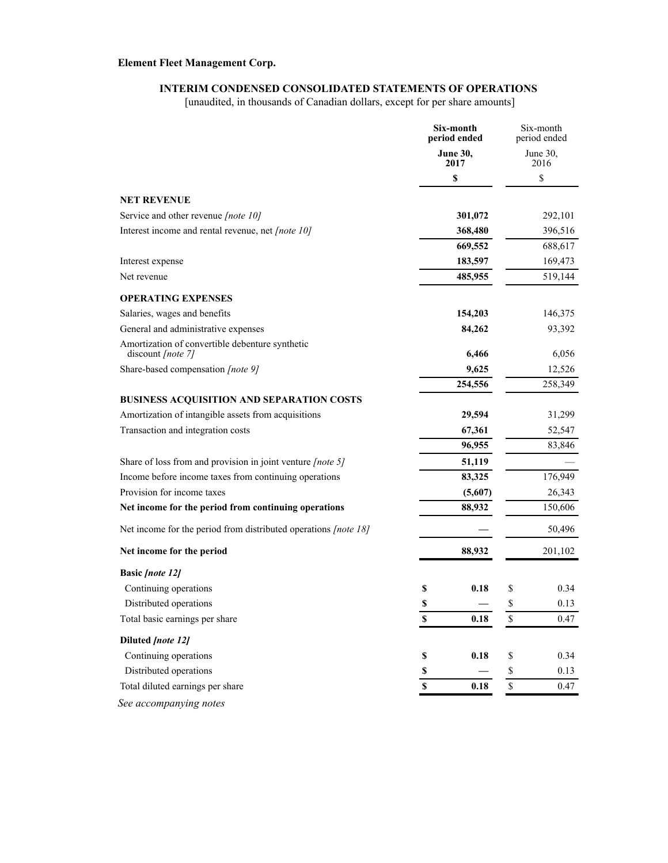### **INTERIM CONDENSED CONSOLIDATED STATEMENTS OF OPERATIONS**

[unaudited, in thousands of Canadian dollars, except for per share amounts]

|                                                                                                  |                    | Six-month<br>period ended |                         | Six-month<br>period ended |
|--------------------------------------------------------------------------------------------------|--------------------|---------------------------|-------------------------|---------------------------|
|                                                                                                  |                    | <b>June 30,</b><br>2017   |                         | June 30,<br>2016          |
|                                                                                                  |                    | \$                        |                         | \$                        |
| <b>NET REVENUE</b>                                                                               |                    |                           |                         |                           |
| Service and other revenue [note 10]                                                              |                    | 301,072                   |                         | 292,101                   |
| Interest income and rental revenue, net [note 10]                                                |                    | 368,480                   |                         | 396,516                   |
|                                                                                                  |                    | 669,552                   |                         | 688,617                   |
| Interest expense                                                                                 |                    | 183,597                   |                         | 169,473                   |
| Net revenue                                                                                      |                    | 485,955                   |                         | 519,144                   |
| <b>OPERATING EXPENSES</b>                                                                        |                    |                           |                         |                           |
| Salaries, wages and benefits                                                                     |                    | 154,203                   |                         | 146,375                   |
| General and administrative expenses                                                              |                    | 84,262                    |                         | 93,392                    |
| Amortization of convertible debenture synthetic                                                  |                    |                           |                         |                           |
| discount $[note 7]$                                                                              |                    | 6,466                     |                         | 6,056                     |
| Share-based compensation [note 9]                                                                |                    | 9,625                     |                         | 12,526                    |
|                                                                                                  |                    | 254,556                   |                         | 258,349                   |
| BUSINESS ACQUISITION AND SEPARATION COSTS<br>Amortization of intangible assets from acquisitions |                    | 29,594                    |                         | 31,299                    |
| Transaction and integration costs                                                                |                    | 67,361                    |                         | 52,547                    |
|                                                                                                  |                    | 96,955                    |                         | 83,846                    |
| Share of loss from and provision in joint venture [note 5]                                       |                    | 51,119                    |                         |                           |
| Income before income taxes from continuing operations                                            |                    | 83,325                    |                         | 176,949                   |
| Provision for income taxes                                                                       |                    | (5,607)                   |                         | 26,343                    |
| Net income for the period from continuing operations                                             |                    | 88,932                    |                         | 150,606                   |
| Net income for the period from distributed operations [note 18]                                  |                    |                           |                         | 50,496                    |
|                                                                                                  |                    |                           |                         |                           |
| Net income for the period                                                                        |                    | 88,932                    |                         | 201,102                   |
| <b>Basic [note 12]</b>                                                                           |                    |                           |                         |                           |
| Continuing operations                                                                            | \$                 | 0.18                      | \$                      | 0.34                      |
| Distributed operations                                                                           | \$                 |                           | \$                      | 0.13                      |
| Total basic earnings per share                                                                   | $\mathbb S$        | 0.18                      | $\mathbb{S}$            | 0.47                      |
| Diluted [note 12]                                                                                |                    |                           |                         |                           |
| Continuing operations                                                                            | $\mathbb S$        | 0.18                      | \$                      | 0.34                      |
| Distributed operations                                                                           | \$                 |                           | \$                      | 0.13                      |
| Total diluted earnings per share                                                                 | $\pmb{\mathbb{S}}$ | 0.18                      | $\overline{\mathbb{S}}$ | 0.47                      |
| See accompanying notes                                                                           |                    |                           |                         |                           |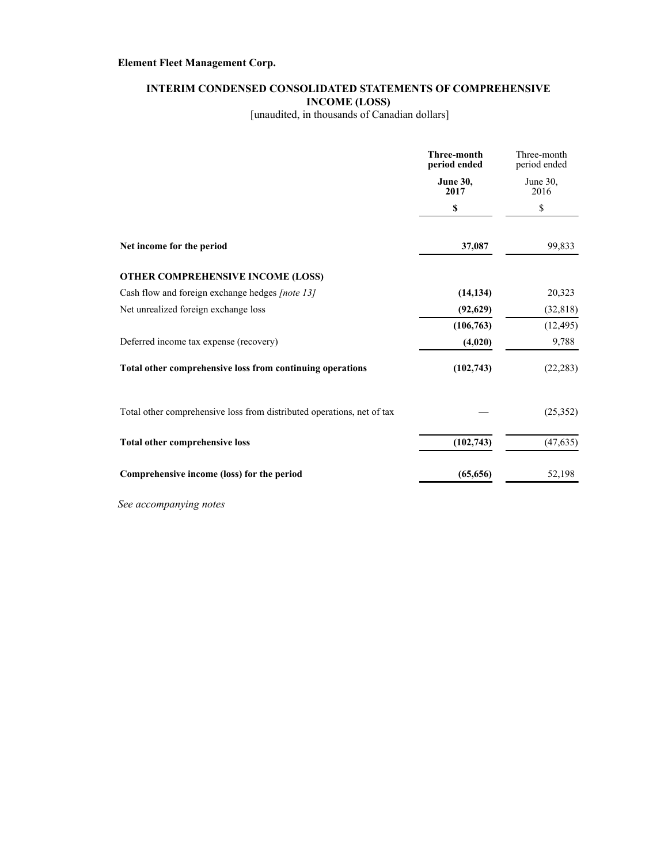### **INTERIM CONDENSED CONSOLIDATED STATEMENTS OF COMPREHENSIVE INCOME (LOSS)**

[unaudited, in thousands of Canadian dollars]

|                                                                        | <b>Three-month</b><br>period ended | Three-month<br>period ended |
|------------------------------------------------------------------------|------------------------------------|-----------------------------|
|                                                                        | <b>June 30,</b><br>2017            | June $30$ ,<br>2016         |
|                                                                        | S                                  | \$                          |
| Net income for the period                                              | 37,087                             | 99,833                      |
| OTHER COMPREHENSIVE INCOME (LOSS)                                      |                                    |                             |
| Cash flow and foreign exchange hedges [note 13]                        | (14, 134)                          | 20,323                      |
| Net unrealized foreign exchange loss                                   | (92,629)                           | (32, 818)                   |
|                                                                        | (106, 763)                         | (12, 495)                   |
| Deferred income tax expense (recovery)                                 | (4,020)                            | 9,788                       |
| Total other comprehensive loss from continuing operations              | (102,743)                          | (22, 283)                   |
| Total other comprehensive loss from distributed operations, net of tax |                                    | (25,352)                    |
| Total other comprehensive loss                                         | (102, 743)                         | (47, 635)                   |
| Comprehensive income (loss) for the period                             | (65, 656)                          | 52,198                      |

*See accompanying notes*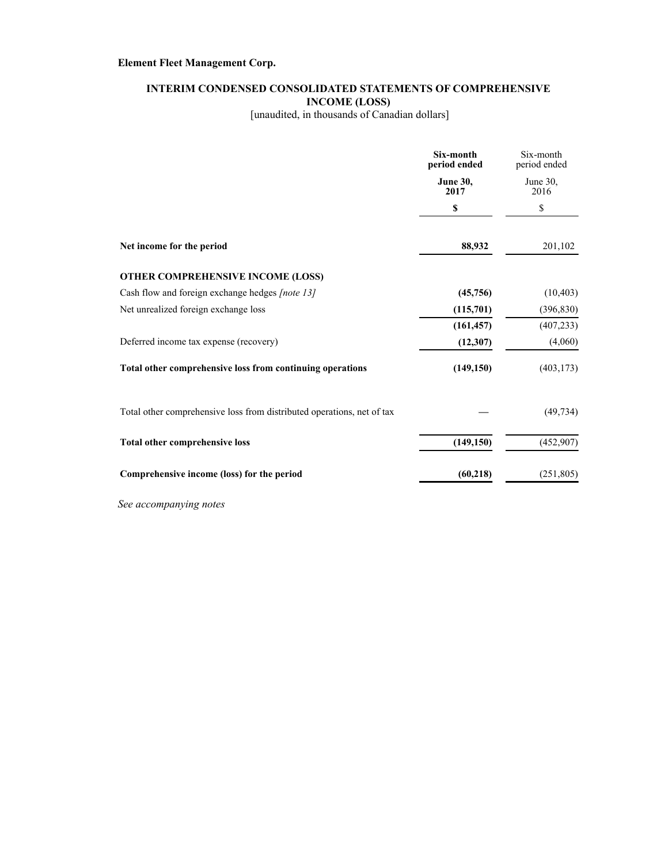### **INTERIM CONDENSED CONSOLIDATED STATEMENTS OF COMPREHENSIVE INCOME (LOSS)**

[unaudited, in thousands of Canadian dollars]

|                                                                        | Six-month<br>period ended | Six-month<br>period ended |
|------------------------------------------------------------------------|---------------------------|---------------------------|
|                                                                        | <b>June 30,</b><br>2017   | June $30$ ,<br>2016       |
|                                                                        | S                         | \$                        |
| Net income for the period                                              | 88,932                    | 201,102                   |
| OTHER COMPREHENSIVE INCOME (LOSS)                                      |                           |                           |
| Cash flow and foreign exchange hedges [note 13]                        | (45,756)                  | (10, 403)                 |
| Net unrealized foreign exchange loss                                   | (115,701)                 | (396, 830)                |
|                                                                        | (161, 457)                | (407, 233)                |
| Deferred income tax expense (recovery)                                 | (12, 307)                 | (4,060)                   |
| Total other comprehensive loss from continuing operations              | (149, 150)                | (403, 173)                |
| Total other comprehensive loss from distributed operations, net of tax |                           | (49, 734)                 |
| Total other comprehensive loss                                         | (149, 150)                | (452,907)                 |
| Comprehensive income (loss) for the period                             | (60, 218)                 | (251, 805)                |

*See accompanying notes*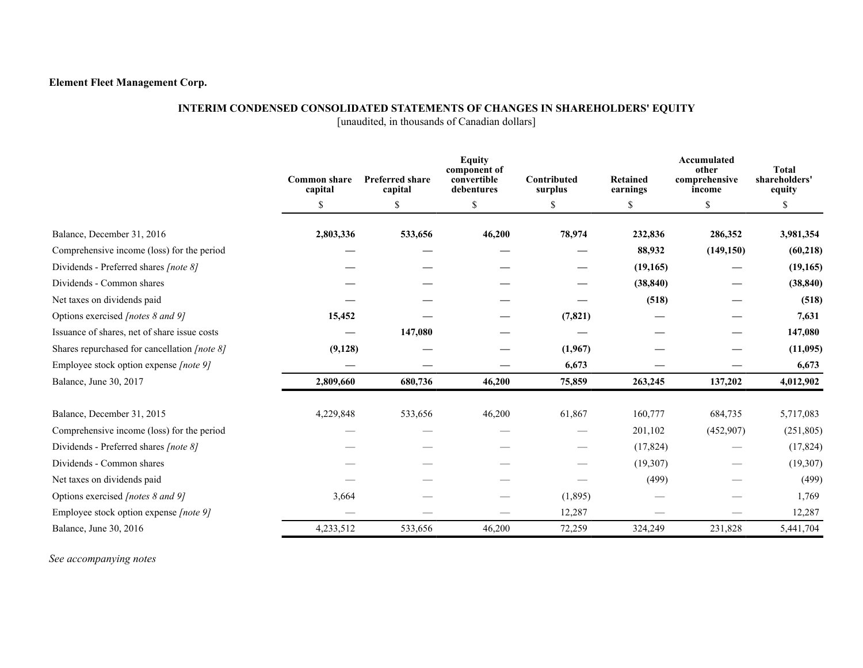#### **INTERIM CONDENSED CONSOLIDATED STATEMENTS OF CHANGES IN SHAREHOLDERS' EQUITY**

[unaudited, in thousands of Canadian dollars]

|                                              | <b>Common share</b><br>capital | <b>Preferred share</b><br>capital | <b>Equity</b><br>component of<br>convertible<br>debentures | Contributed<br>surplus | <b>Retained</b><br>earnings | Accumulated<br>other<br>comprehensive<br>income | <b>Total</b><br>shareholders'<br>equity |
|----------------------------------------------|--------------------------------|-----------------------------------|------------------------------------------------------------|------------------------|-----------------------------|-------------------------------------------------|-----------------------------------------|
|                                              | \$                             | \$                                | \$                                                         | \$                     | \$                          | \$                                              | \$                                      |
| Balance, December 31, 2016                   | 2,803,336                      | 533,656                           | 46,200                                                     | 78,974                 | 232,836                     | 286,352                                         | 3,981,354                               |
| Comprehensive income (loss) for the period   |                                |                                   |                                                            |                        | 88,932                      | (149, 150)                                      | (60, 218)                               |
| Dividends - Preferred shares [note 8]        |                                |                                   |                                                            |                        | (19, 165)                   |                                                 | (19, 165)                               |
| Dividends - Common shares                    |                                |                                   |                                                            |                        | (38, 840)                   |                                                 | (38, 840)                               |
| Net taxes on dividends paid                  |                                |                                   |                                                            |                        | (518)                       |                                                 | (518)                                   |
| Options exercised [notes 8 and 9]            | 15,452                         |                                   |                                                            | (7, 821)               |                             |                                                 | 7,631                                   |
| Issuance of shares, net of share issue costs |                                | 147,080                           |                                                            |                        |                             |                                                 | 147,080                                 |
| Shares repurchased for cancellation [note 8] | (9, 128)                       |                                   |                                                            | (1,967)                |                             |                                                 | (11,095)                                |
| Employee stock option expense [note 9]       |                                |                                   |                                                            | 6,673                  |                             |                                                 | 6,673                                   |
| Balance, June 30, 2017                       | 2,809,660                      | 680,736                           | 46,200                                                     | 75,859                 | 263,245                     | 137,202                                         | 4,012,902                               |
| Balance, December 31, 2015                   | 4,229,848                      | 533,656                           | 46,200                                                     | 61,867                 | 160,777                     | 684,735                                         | 5,717,083                               |
| Comprehensive income (loss) for the period   |                                |                                   |                                                            |                        | 201,102                     | (452,907)                                       | (251, 805)                              |
| Dividends - Preferred shares [note 8]        |                                |                                   |                                                            |                        | (17, 824)                   |                                                 | (17, 824)                               |
| Dividends - Common shares                    |                                |                                   |                                                            |                        | (19,307)                    |                                                 | (19,307)                                |
| Net taxes on dividends paid                  |                                |                                   |                                                            |                        | (499)                       |                                                 | (499)                                   |
| Options exercised [notes 8 and 9]            | 3,664                          |                                   |                                                            | (1,895)                |                             |                                                 | 1,769                                   |
| Employee stock option expense [note 9]       |                                |                                   |                                                            | 12,287                 |                             |                                                 | 12,287                                  |
| Balance, June 30, 2016                       | 4,233,512                      | 533,656                           | 46,200                                                     | 72,259                 | 324,249                     | 231,828                                         | 5,441,704                               |

*See accompanying notes*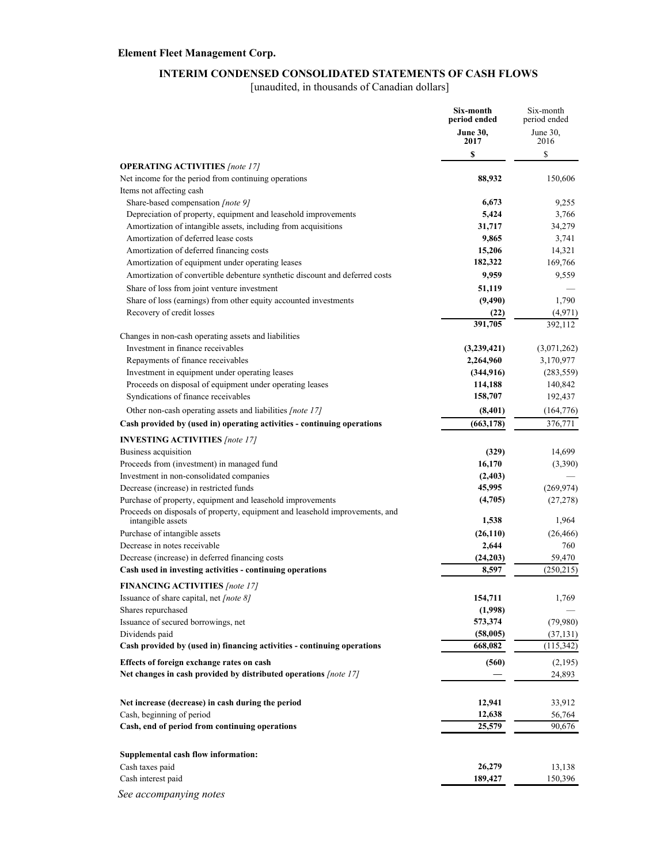### **INTERIM CONDENSED CONSOLIDATED STATEMENTS OF CASH FLOWS**

[unaudited, in thousands of Canadian dollars]

|                                                                                                                                            | Six-month<br>period ended | Six-month<br>period ended |
|--------------------------------------------------------------------------------------------------------------------------------------------|---------------------------|---------------------------|
|                                                                                                                                            | <b>June 30,</b>           | June 30,                  |
|                                                                                                                                            | 2017                      | 2016                      |
| <b>OPERATING ACTIVITIES</b> [note 17]                                                                                                      | \$                        | \$                        |
| Net income for the period from continuing operations<br>Items not affecting cash                                                           | 88,932                    | 150,606                   |
| Share-based compensation [note 9]                                                                                                          | 6,673                     | 9,255                     |
| Depreciation of property, equipment and leasehold improvements                                                                             | 5,424                     | 3,766                     |
| Amortization of intangible assets, including from acquisitions                                                                             | 31,717                    | 34,279                    |
| Amortization of deferred lease costs                                                                                                       | 9,865                     | 3,741                     |
| Amortization of deferred financing costs                                                                                                   | 15,206                    | 14,321                    |
| Amortization of equipment under operating leases                                                                                           | 182,322                   | 169,766                   |
| Amortization of convertible debenture synthetic discount and deferred costs                                                                | 9,959                     | 9,559                     |
| Share of loss from joint venture investment                                                                                                | 51,119                    |                           |
| Share of loss (earnings) from other equity accounted investments                                                                           | (9,490)                   | 1,790                     |
| Recovery of credit losses                                                                                                                  | (22)                      | (4,971)                   |
|                                                                                                                                            | 391,705                   | 392,112                   |
| Changes in non-cash operating assets and liabilities                                                                                       |                           |                           |
| Investment in finance receivables                                                                                                          | (3,239,421)               | (3,071,262)               |
| Repayments of finance receivables                                                                                                          | 2,264,960                 | 3,170,977                 |
| Investment in equipment under operating leases                                                                                             | (344, 916)                | (283, 559)                |
| Proceeds on disposal of equipment under operating leases                                                                                   | 114,188                   | 140,842                   |
| Syndications of finance receivables                                                                                                        | 158,707                   | 192,437                   |
| Other non-cash operating assets and liabilities [note 17]                                                                                  | (8,401)                   | (164, 776)                |
| Cash provided by (used in) operating activities - continuing operations                                                                    | (663, 178)                | 376,771                   |
| <b>INVESTING ACTIVITIES</b> [note 17]                                                                                                      |                           |                           |
| Business acquisition                                                                                                                       | (329)                     | 14,699                    |
| Proceeds from (investment) in managed fund                                                                                                 | 16,170                    | (3,390)                   |
| Investment in non-consolidated companies                                                                                                   | (2,403)                   |                           |
| Decrease (increase) in restricted funds                                                                                                    | 45,995                    | (269, 974)                |
| Purchase of property, equipment and leasehold improvements<br>Proceeds on disposals of property, equipment and leasehold improvements, and | (4,705)                   | (27, 278)                 |
| intangible assets                                                                                                                          | 1,538                     | 1,964                     |
| Purchase of intangible assets                                                                                                              | (26, 110)                 | (26, 466)                 |
| Decrease in notes receivable                                                                                                               | 2,644                     | 760                       |
| Decrease (increase) in deferred financing costs                                                                                            | (24,203)                  | 59,470                    |
| Cash used in investing activities - continuing operations                                                                                  | 8,597                     | (250, 215)                |
| <b>FINANCING ACTIVITIES</b> [note 17]                                                                                                      |                           |                           |
| Issuance of share capital, net <i>[note 8]</i>                                                                                             | 154,711                   | 1,769                     |
| Shares repurchased                                                                                                                         | (1,998)                   |                           |
| Issuance of secured borrowings, net                                                                                                        | 573,374                   | (79,980)                  |
| Dividends paid                                                                                                                             | (58,005)                  | (37, 131)                 |
| Cash provided by (used in) financing activities - continuing operations                                                                    | 668,082                   | (115,342)                 |
| Effects of foreign exchange rates on cash                                                                                                  | (560)                     | (2,195)                   |
| Net changes in cash provided by distributed operations [note 17]                                                                           |                           | 24,893                    |
| Net increase (decrease) in cash during the period                                                                                          | 12,941                    | 33,912                    |
| Cash, beginning of period                                                                                                                  | 12,638                    | 56,764                    |
| Cash, end of period from continuing operations                                                                                             | 25,579                    | 90,676                    |
|                                                                                                                                            |                           |                           |
| Supplemental cash flow information:                                                                                                        |                           |                           |
| Cash taxes paid                                                                                                                            | 26,279                    | 13,138                    |
| Cash interest paid                                                                                                                         | 189,427                   | 150,396                   |
| See accompanying notes                                                                                                                     |                           |                           |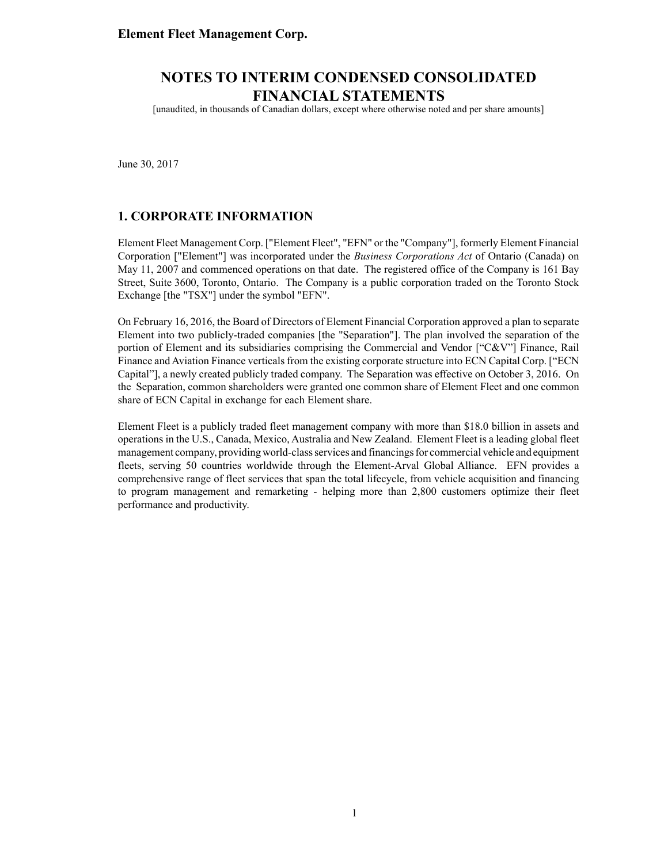[unaudited, in thousands of Canadian dollars, except where otherwise noted and per share amounts]

June 30, 2017

### **1. CORPORATE INFORMATION**

Element Fleet Management Corp. ["Element Fleet", "EFN" or the "Company"], formerly Element Financial Corporation ["Element"] was incorporated under the *Business Corporations Act* of Ontario (Canada) on May 11, 2007 and commenced operations on that date. The registered office of the Company is 161 Bay Street, Suite 3600, Toronto, Ontario. The Company is a public corporation traded on the Toronto Stock Exchange [the "TSX"] under the symbol "EFN".

On February 16, 2016, the Board of Directors of Element Financial Corporation approved a plan to separate Element into two publicly-traded companies [the "Separation"]. The plan involved the separation of the portion of Element and its subsidiaries comprising the Commercial and Vendor ["C&V"] Finance, Rail Finance and Aviation Finance verticals from the existing corporate structure into ECN Capital Corp. ["ECN Capital"], a newly created publicly traded company. The Separation was effective on October 3, 2016. On the Separation, common shareholders were granted one common share of Element Fleet and one common share of ECN Capital in exchange for each Element share.

Element Fleet is a publicly traded fleet management company with more than \$18.0 billion in assets and operations in the U.S., Canada, Mexico, Australia and New Zealand. Element Fleet is a leading global fleet management company, providing world-class services and financings for commercial vehicle and equipment fleets, serving 50 countries worldwide through the Element-Arval Global Alliance. EFN provides a comprehensive range of fleet services that span the total lifecycle, from vehicle acquisition and financing to program management and remarketing - helping more than 2,800 customers optimize their fleet performance and productivity.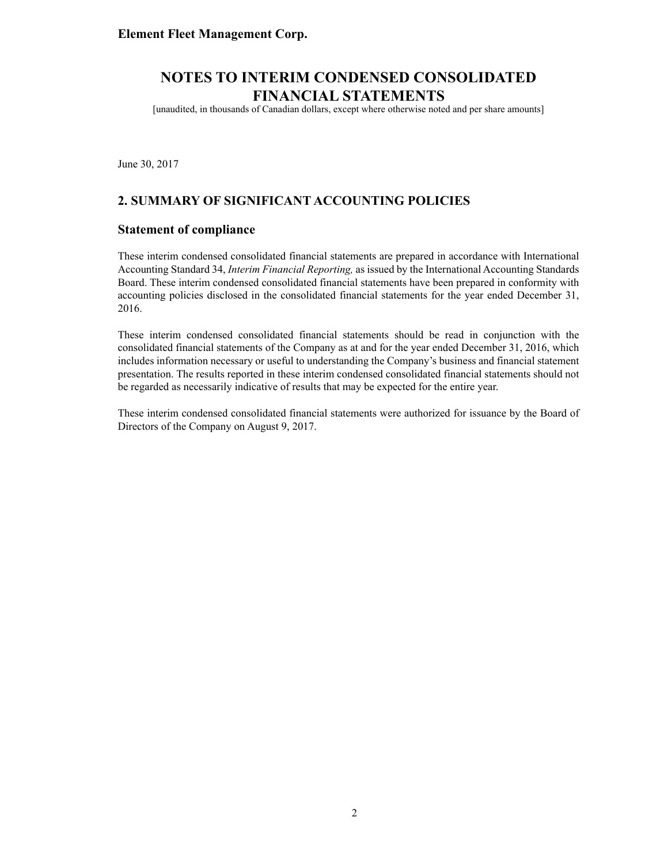[unaudited, in thousands of Canadian dollars, except where otherwise noted and per share amounts]

June 30, 2017

### **2. SUMMARY OF SIGNIFICANT ACCOUNTING POLICIES**

#### **Statement of compliance**

These interim condensed consolidated financial statements are prepared in accordance with International Accounting Standard 34, *Interim Financial Reporting,* as issued by the International Accounting Standards Board. These interim condensed consolidated financial statements have been prepared in conformity with accounting policies disclosed in the consolidated financial statements for the year ended December 31, 2016.

These interim condensed consolidated financial statements should be read in conjunction with the consolidated financial statements of the Company as at and for the year ended December 31, 2016, which includes information necessary or useful to understanding the Company's business and financial statement presentation. The results reported in these interim condensed consolidated financial statements should not be regarded as necessarily indicative of results that may be expected for the entire year.

These interim condensed consolidated financial statements were authorized for issuance by the Board of Directors of the Company on August 9, 2017.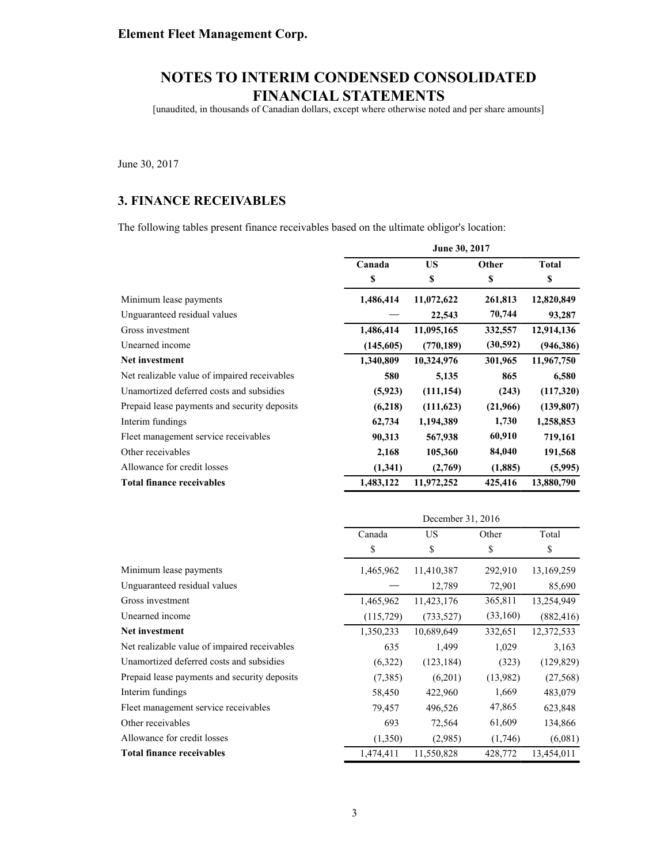[unaudited, in thousands of Canadian dollars, except where otherwise noted and per share amounts]

June 30, 2017

### **3. FINANCE RECEIVABLES**

The following tables present finance receivables based on the ultimate obligor's location:

|                                              |           | June 30, 2017 |           |              |  |
|----------------------------------------------|-----------|---------------|-----------|--------------|--|
|                                              | Canada    | <b>US</b>     | Other     | <b>Total</b> |  |
|                                              | \$        | \$            | \$        | \$           |  |
| Minimum lease payments                       | 1,486,414 | 11,072,622    | 261,813   | 12,820,849   |  |
| Unguaranteed residual values                 |           | 22,543        | 70,744    | 93,287       |  |
| Gross investment                             | 1,486,414 | 11,095,165    | 332,557   | 12,914,136   |  |
| Unearned income                              | (145,605) | (770, 189)    | (30, 592) | (946, 386)   |  |
| Net investment                               | 1,340,809 | 10,324,976    | 301,965   | 11,967,750   |  |
| Net realizable value of impaired receivables | 580       | 5,135         | 865       | 6,580        |  |
| Unamortized deferred costs and subsidies     | (5,923)   | (111, 154)    | (243)     | (117,320)    |  |
| Prepaid lease payments and security deposits | (6,218)   | (111,623)     | (21,966)  | (139, 807)   |  |
| Interim fundings                             | 62,734    | 1,194,389     | 1,730     | 1,258,853    |  |
| Fleet management service receivables         | 90,313    | 567,938       | 60,910    | 719,161      |  |
| Other receivables                            | 2,168     | 105,360       | 84,040    | 191,568      |  |
| Allowance for credit losses                  | (1,341)   | (2,769)       | (1,885)   | (5,995)      |  |
| <b>Total finance receivables</b>             | 1,483,122 | 11,972,252    | 425,416   | 13,880,790   |  |

|                                              | December 31, 2016 |            |          |            |
|----------------------------------------------|-------------------|------------|----------|------------|
|                                              | Canada            | US         | Other    | Total      |
|                                              | \$                | \$         | \$       | \$         |
| Minimum lease payments                       | 1,465,962         | 11,410,387 | 292,910  | 13,169,259 |
| Unguaranteed residual values                 |                   | 12,789     | 72,901   | 85,690     |
| Gross investment                             | 1,465,962         | 11,423,176 | 365,811  | 13,254,949 |
| Unearned income                              | (115, 729)        | (733, 527) | (33,160) | (882, 416) |
| Net investment                               | 1,350,233         | 10,689,649 | 332,651  | 12,372,533 |
| Net realizable value of impaired receivables | 635               | 1,499      | 1,029    | 3,163      |
| Unamortized deferred costs and subsidies     | (6,322)           | (123, 184) | (323)    | (129, 829) |
| Prepaid lease payments and security deposits | (7,385)           | (6,201)    | (13,982) | (27, 568)  |
| Interim fundings                             | 58,450            | 422,960    | 1,669    | 483,079    |
| Fleet management service receivables         | 79,457            | 496,526    | 47,865   | 623,848    |
| Other receivables                            | 693               | 72,564     | 61,609   | 134,866    |
| Allowance for credit losses                  | (1,350)           | (2,985)    | (1,746)  | (6,081)    |
| <b>Total finance receivables</b>             | 1,474,411         | 11,550,828 | 428,772  | 13,454,011 |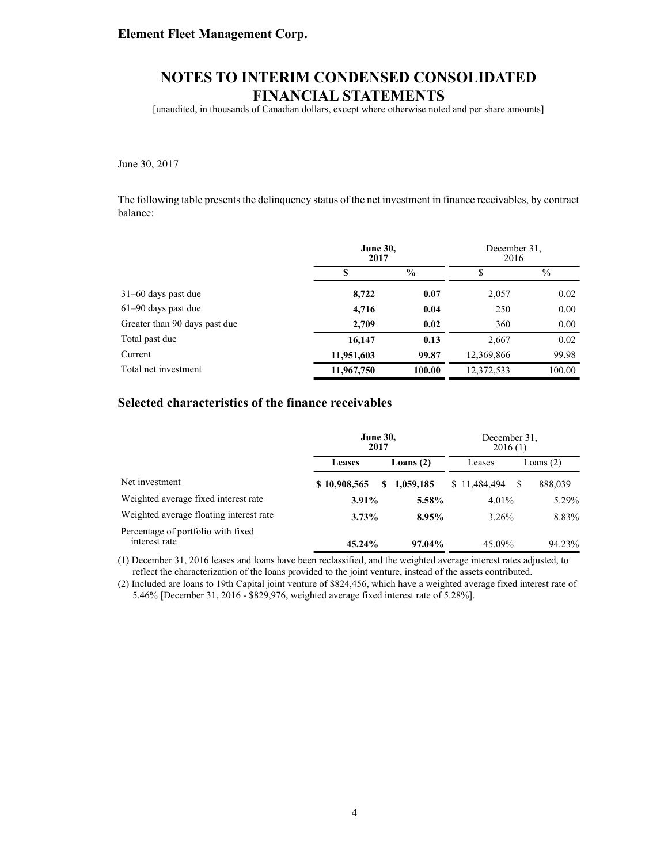[unaudited, in thousands of Canadian dollars, except where otherwise noted and per share amounts]

#### June 30, 2017

The following table presents the delinquency status of the net investment in finance receivables, by contract balance:

|                               | <b>June 30,</b><br>2017 |               | December 31.<br>2016 |        |
|-------------------------------|-------------------------|---------------|----------------------|--------|
|                               | S                       | $\frac{6}{9}$ | \$                   | $\%$   |
| $31-60$ days past due         | 8,722                   | 0.07          | 2,057                | 0.02   |
| 61-90 days past due           | 4,716                   | 0.04          | 250                  | 0.00   |
| Greater than 90 days past due | 2,709                   | 0.02          | 360                  | 0.00   |
| Total past due                | 16,147                  | 0.13          | 2,667                | 0.02   |
| Current                       | 11,951,603              | 99.87         | 12,369,866           | 99.98  |
| Total net investment          | 11,967,750              | 100.00        | 12,372,533           | 100.00 |

### **Selected characteristics of the finance receivables**

|                                                     | <b>June 30,</b><br>2017 |             | December 31.<br>2016(1) |  |           |
|-----------------------------------------------------|-------------------------|-------------|-------------------------|--|-----------|
|                                                     | Leases                  | Loans $(2)$ | Leases                  |  | Loans (2) |
| Net investment                                      | \$10,908,565<br>S       | 1,059,185   | \$11,484,494            |  | 888,039   |
| Weighted average fixed interest rate                | $3.91\%$                | 5.58%       | 4.01%                   |  | 5.29%     |
| Weighted average floating interest rate             | 3.73%                   | $8.95\%$    | 3.26%                   |  | 8.83%     |
| Percentage of portfolio with fixed<br>interest rate | 45.24%                  | 97.04%      | 45.09%                  |  | 94.23%    |

(1) December 31, 2016 leases and loans have been reclassified, and the weighted average interest rates adjusted, to reflect the characterization of the loans provided to the joint venture, instead of the assets contributed.

(2) Included are loans to 19th Capital joint venture of \$824,456, which have a weighted average fixed interest rate of 5.46% [December 31, 2016 - \$829,976, weighted average fixed interest rate of 5.28%].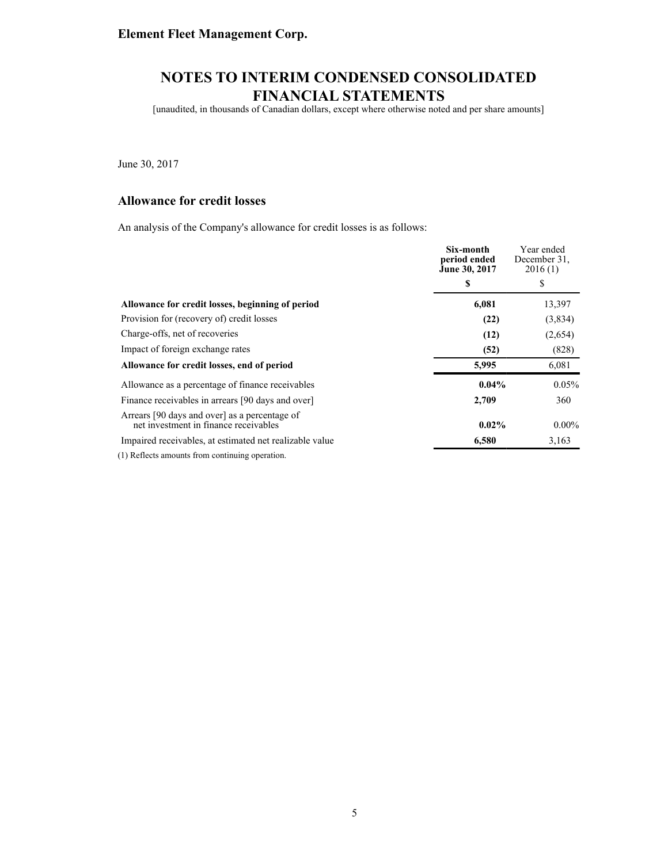[unaudited, in thousands of Canadian dollars, except where otherwise noted and per share amounts]

June 30, 2017

### **Allowance for credit losses**

An analysis of the Company's allowance for credit losses is as follows:

|                                                                                                                                                                                                                                 | Six-month<br>period ended<br>June 30, 2017 | Year ended<br>December 31.<br>2016(1) |
|---------------------------------------------------------------------------------------------------------------------------------------------------------------------------------------------------------------------------------|--------------------------------------------|---------------------------------------|
|                                                                                                                                                                                                                                 | S                                          | \$                                    |
| Allowance for credit losses, beginning of period                                                                                                                                                                                | 6,081                                      | 13,397                                |
| Provision for (recovery of) credit losses                                                                                                                                                                                       | (22)                                       | (3,834)                               |
| Charge-offs, net of recoveries                                                                                                                                                                                                  | (12)                                       | (2,654)                               |
| Impact of foreign exchange rates                                                                                                                                                                                                | (52)                                       | (828)                                 |
| Allowance for credit losses, end of period                                                                                                                                                                                      | 5,995                                      | 6,081                                 |
| Allowance as a percentage of finance receivables                                                                                                                                                                                | $0.04\%$                                   | 0.05%                                 |
| Finance receivables in arrears [90 days and over]                                                                                                                                                                               | 2,709                                      | 360                                   |
| Arrears [90 days and over] as a percentage of<br>net investment in finance receivables                                                                                                                                          | $0.02\%$                                   | $0.00\%$                              |
| Impaired receivables, at estimated net realizable value                                                                                                                                                                         | 6,580                                      | 3,163                                 |
| $\sim$ . The set of the set of the set of the set of the set of the set of the set of the set of the set of the set of the set of the set of the set of the set of the set of the set of the set of the set of the set of the s |                                            |                                       |

(1) Reflects amounts from continuing operation.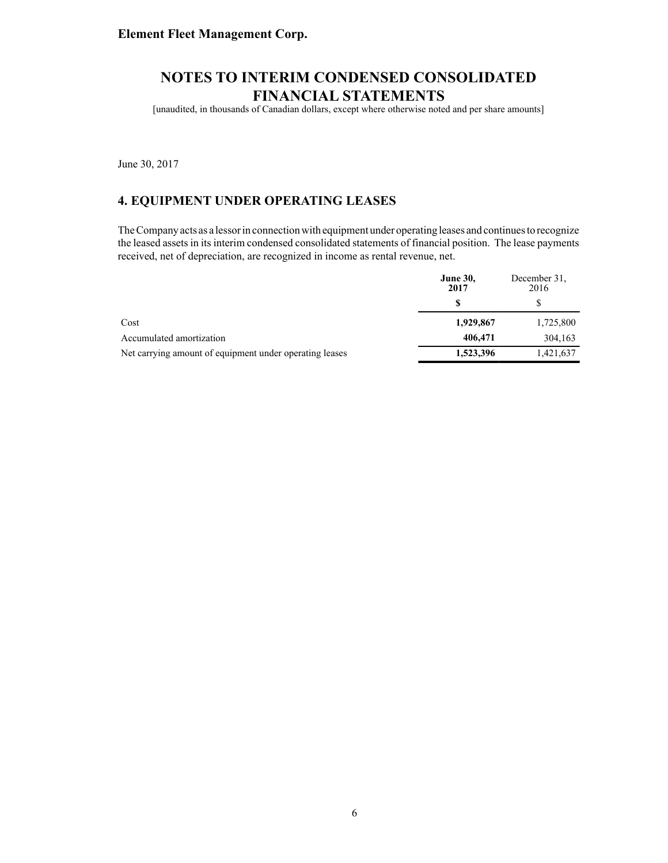[unaudited, in thousands of Canadian dollars, except where otherwise noted and per share amounts]

June 30, 2017

### **4. EQUIPMENT UNDER OPERATING LEASES**

The Company acts as a lessor in connection with equipment under operating leases and continues to recognize the leased assets in its interim condensed consolidated statements of financial position. The lease payments received, net of depreciation, are recognized in income as rental revenue, net.

|                                                         | <b>June 30,</b><br>2017 | December 31.<br>2016 |
|---------------------------------------------------------|-------------------------|----------------------|
|                                                         |                         |                      |
| Cost                                                    | 1,929,867               | 1,725,800            |
| Accumulated amortization                                | 406,471                 | 304,163              |
| Net carrying amount of equipment under operating leases | 1,523,396               | 1,421,637            |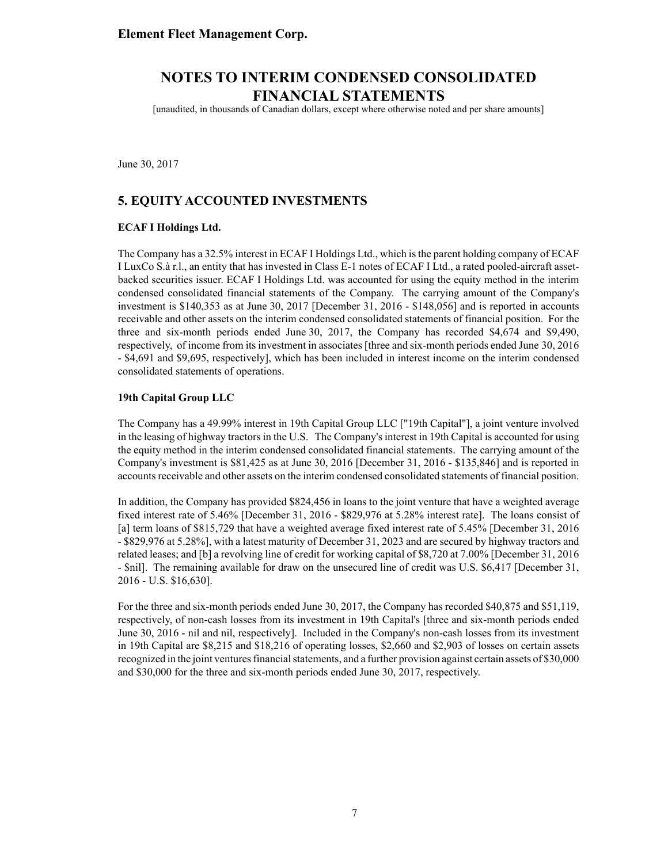[unaudited, in thousands of Canadian dollars, except where otherwise noted and per share amounts]

June 30, 2017

### **5. EQUITY ACCOUNTED INVESTMENTS**

#### **ECAF I Holdings Ltd.**

The Company has a 32.5% interest in ECAF I Holdings Ltd., which is the parent holding company of ECAF I LuxCo S.à r.l., an entity that has invested in Class E-1 notes of ECAF I Ltd., a rated pooled-aircraft assetbacked securities issuer. ECAF I Holdings Ltd. was accounted for using the equity method in the interim condensed consolidated financial statements of the Company. The carrying amount of the Company's investment is \$140,353 as at June 30, 2017 [December 31, 2016 - \$148,056] and is reported in accounts receivable and other assets on the interim condensed consolidated statements of financial position. For the three and six-month periods ended June 30, 2017, the Company has recorded \$4,674 and \$9,490, respectively, of income from its investment in associates [three and six-month periods ended June 30, 2016 - \$4,691 and \$9,695, respectively], which has been included in interest income on the interim condensed consolidated statements of operations.

#### **19th Capital Group LLC**

The Company has a 49.99% interest in 19th Capital Group LLC ["19th Capital"], a joint venture involved in the leasing of highway tractors in the U.S. The Company's interest in 19th Capital is accounted for using the equity method in the interim condensed consolidated financial statements. The carrying amount of the Company's investment is \$81,425 as at June 30, 2016 [December 31, 2016 - \$135,846] and is reported in accounts receivable and other assets on the interim condensed consolidated statements of financial position.

In addition, the Company has provided \$824,456 in loans to the joint venture that have a weighted average fixed interest rate of 5.46% [December 31, 2016 - \$829,976 at 5.28% interest rate]. The loans consist of [a] term loans of \$815,729 that have a weighted average fixed interest rate of 5.45% [December 31, 2016 - \$829,976 at 5.28%], with a latest maturity of December 31, 2023 and are secured by highway tractors and related leases; and [b] a revolving line of credit for working capital of \$8,720 at 7.00% [December 31, 2016 - \$nil]. The remaining available for draw on the unsecured line of credit was U.S. \$6,417 [December 31, 2016 - U.S. \$16,630].

For the three and six-month periods ended June 30, 2017, the Company has recorded \$40,875 and \$51,119, respectively, of non-cash losses from its investment in 19th Capital's [three and six-month periods ended June 30, 2016 - nil and nil, respectively]. Included in the Company's non-cash losses from its investment in 19th Capital are \$8,215 and \$18,216 of operating losses, \$2,660 and \$2,903 of losses on certain assets recognized in the joint ventures financial statements, and a further provision against certain assets of \$30,000 and \$30,000 for the three and six-month periods ended June 30, 2017, respectively.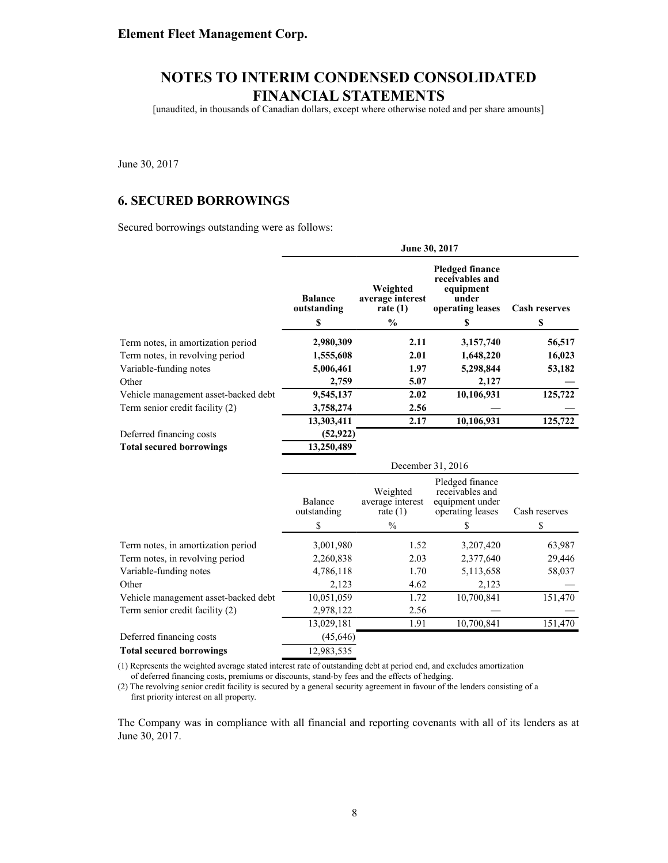[unaudited, in thousands of Canadian dollars, except where otherwise noted and per share amounts]

June 30, 2017

### **6. SECURED BORROWINGS**

Secured borrowings outstanding were as follows:

|                                      | June 30, 2017                 |                                            |                                                                                     |                      |  |  |  |
|--------------------------------------|-------------------------------|--------------------------------------------|-------------------------------------------------------------------------------------|----------------------|--|--|--|
|                                      | <b>Balance</b><br>outstanding | Weighted<br>average interest<br>rate $(1)$ | <b>Pledged finance</b><br>receivables and<br>equipment<br>under<br>operating leases | <b>Cash reserves</b> |  |  |  |
|                                      | \$                            | $\frac{0}{0}$                              | S                                                                                   | \$                   |  |  |  |
| Term notes, in amortization period   | 2,980,309                     | 2.11                                       | 3,157,740                                                                           | 56,517               |  |  |  |
| Term notes, in revolving period      | 1,555,608                     | 2.01                                       | 1,648,220                                                                           | 16,023               |  |  |  |
| Variable-funding notes               | 5,006,461                     | 1.97                                       | 5,298,844                                                                           | 53,182               |  |  |  |
| Other                                | 2,759                         | 5.07                                       | 2,127                                                                               |                      |  |  |  |
| Vehicle management asset-backed debt | 9,545,137                     | 2.02                                       | 10,106,931                                                                          | 125,722              |  |  |  |
| Term senior credit facility (2)      | 3,758,274                     | 2.56                                       |                                                                                     |                      |  |  |  |
|                                      | 13,303,411                    | 2.17                                       | 10,106,931                                                                          | 125,722              |  |  |  |
| Deferred financing costs             | (52, 922)                     |                                            |                                                                                     |                      |  |  |  |
| <b>Total secured borrowings</b>      | 13,250,489                    |                                            |                                                                                     |                      |  |  |  |
|                                      |                               | December 31, 2016                          |                                                                                     |                      |  |  |  |
|                                      |                               |                                            |                                                                                     |                      |  |  |  |
|                                      | <b>Balance</b><br>outstanding | Weighted<br>average interest<br>rate $(1)$ | Pledged finance<br>receivables and<br>equipment under<br>operating leases           | Cash reserves        |  |  |  |
|                                      | \$                            | $\frac{0}{0}$                              | S                                                                                   | \$                   |  |  |  |
| Term notes, in amortization period   | 3,001,980                     | 1.52                                       | 3,207,420                                                                           | 63,987               |  |  |  |
| Term notes, in revolving period      | 2,260,838                     | 2.03                                       | 2,377,640                                                                           | 29,446               |  |  |  |
| Variable-funding notes               | 4,786,118                     | 1.70                                       | 5,113,658                                                                           | 58,037               |  |  |  |
| Other                                | 2,123                         | 4.62                                       | 2,123                                                                               |                      |  |  |  |
| Vehicle management asset-backed debt | 10,051,059                    | 1.72                                       | 10,700,841                                                                          | 151,470              |  |  |  |
| Term senior credit facility (2)      | 2,978,122                     | 2.56                                       |                                                                                     |                      |  |  |  |
|                                      | 13,029,181                    | 1.91                                       | 10,700,841                                                                          | 151,470              |  |  |  |
| Deferred financing costs             | (45, 646)                     |                                            |                                                                                     |                      |  |  |  |

(1) Represents the weighted average stated interest rate of outstanding debt at period end, and excludes amortization of deferred financing costs, premiums or discounts, stand-by fees and the effects of hedging.

(2) The revolving senior credit facility is secured by a general security agreement in favour of the lenders consisting of a first priority interest on all property.

The Company was in compliance with all financial and reporting covenants with all of its lenders as at June 30, 2017.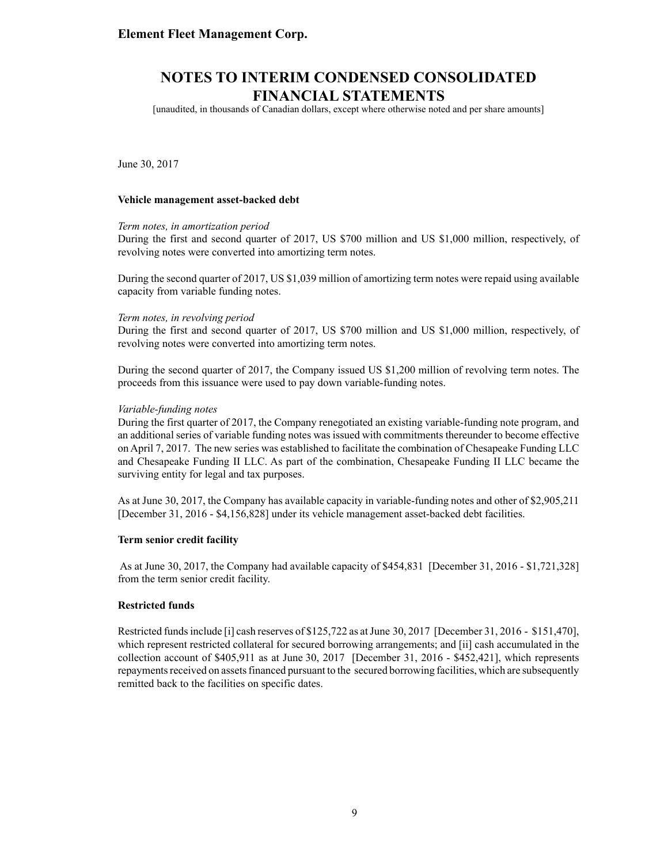[unaudited, in thousands of Canadian dollars, except where otherwise noted and per share amounts]

June 30, 2017

#### **Vehicle management asset-backed debt**

#### *Term notes, in amortization period*

During the first and second quarter of 2017, US \$700 million and US \$1,000 million, respectively, of revolving notes were converted into amortizing term notes.

During the second quarter of 2017, US \$1,039 million of amortizing term notes were repaid using available capacity from variable funding notes.

#### *Term notes, in revolving period*

During the first and second quarter of 2017, US \$700 million and US \$1,000 million, respectively, of revolving notes were converted into amortizing term notes.

During the second quarter of 2017, the Company issued US \$1,200 million of revolving term notes. The proceeds from this issuance were used to pay down variable-funding notes.

#### *Variable-funding notes*

During the first quarter of 2017, the Company renegotiated an existing variable-funding note program, and an additional series of variable funding notes was issued with commitments thereunder to become effective on April 7, 2017. The new series was established to facilitate the combination of Chesapeake Funding LLC and Chesapeake Funding II LLC. As part of the combination, Chesapeake Funding II LLC became the surviving entity for legal and tax purposes.

As at June 30, 2017, the Company has available capacity in variable-funding notes and other of \$2,905,211 [December 31, 2016 - \$4,156,828] under its vehicle management asset-backed debt facilities.

#### **Term senior credit facility**

As at June 30, 2017, the Company had available capacity of \$454,831 [December 31, 2016 - \$1,721,328] from the term senior credit facility.

#### **Restricted funds**

Restricted funds include [i] cash reserves of \$125,722 as at June 30, 2017 [December 31, 2016 - \$151,470], which represent restricted collateral for secured borrowing arrangements; and [ii] cash accumulated in the collection account of \$405,911 as at June 30, 2017 [December 31, 2016 - \$452,421], which represents repayments received on assets financed pursuant to the secured borrowing facilities, which are subsequently remitted back to the facilities on specific dates.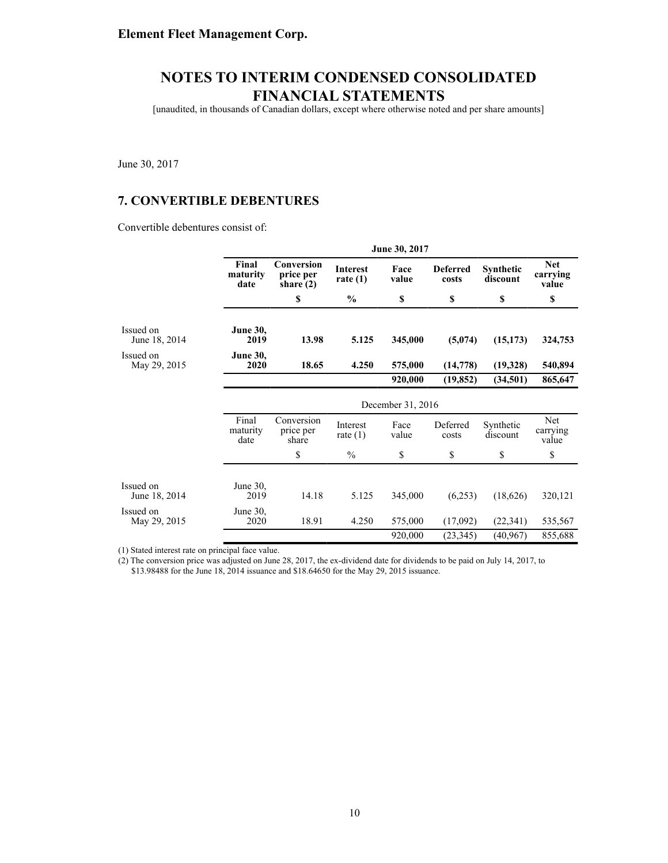[unaudited, in thousands of Canadian dollars, except where otherwise noted and per share amounts]

June 30, 2017

### **7. CONVERTIBLE DEBENTURES**

Convertible debentures consist of:

|                            |                           | June 30, 2017                          |                               |               |                          |                       |                                 |  |  |
|----------------------------|---------------------------|----------------------------------------|-------------------------------|---------------|--------------------------|-----------------------|---------------------------------|--|--|
|                            | Final<br>maturity<br>date | Conversion<br>price per<br>share $(2)$ | <b>Interest</b><br>rate $(1)$ | Face<br>value | <b>Deferred</b><br>costs | Synthetic<br>discount | <b>Net</b><br>carrying<br>value |  |  |
|                            |                           | \$                                     | $\frac{0}{0}$                 | \$            | \$                       | \$                    | \$                              |  |  |
| Issued on<br>June 18, 2014 | <b>June 30,</b><br>2019   | 13.98                                  | 5.125                         | 345,000       | (5,074)                  | (15, 173)             | 324,753                         |  |  |
| Issued on<br>May 29, 2015  | <b>June 30,</b><br>2020   | 18.65                                  | 4.250                         | 575,000       | (14, 778)                | (19,328)              | 540,894                         |  |  |
|                            |                           |                                        |                               | 920,000       | (19, 852)                | (34,501)              | 865,647                         |  |  |
|                            |                           | December 31, 2016                      |                               |               |                          |                       |                                 |  |  |
|                            | Final<br>maturity<br>date | Conversion<br>price per<br>share       | Interest<br>rate $(1)$        | Face<br>value | Deferred<br>costs        | Synthetic<br>discount | Net<br>carrying<br>value        |  |  |
|                            |                           | \$                                     | $\%$                          | \$            | \$                       | \$                    | \$                              |  |  |
| Issued on                  | June 30,                  |                                        |                               |               |                          |                       |                                 |  |  |
| June 18, 2014              | 2019                      | 14.18                                  | 5.125                         | 345,000       | (6,253)                  | (18,626)              | 320,121                         |  |  |
| Issued on<br>May 29, 2015  | June $30$ ,<br>2020       | 18.91                                  | 4.250                         | 575,000       | (17,092)                 | (22, 341)             | 535,567                         |  |  |
|                            |                           |                                        |                               | 920,000       | (23, 345)                | (40, 967)             | 855,688                         |  |  |

(1) Stated interest rate on principal face value.

(2) The conversion price was adjusted on June 28, 2017, the ex-dividend date for dividends to be paid on July 14, 2017, to \$13.98488 for the June 18, 2014 issuance and \$18.64650 for the May 29, 2015 issuance.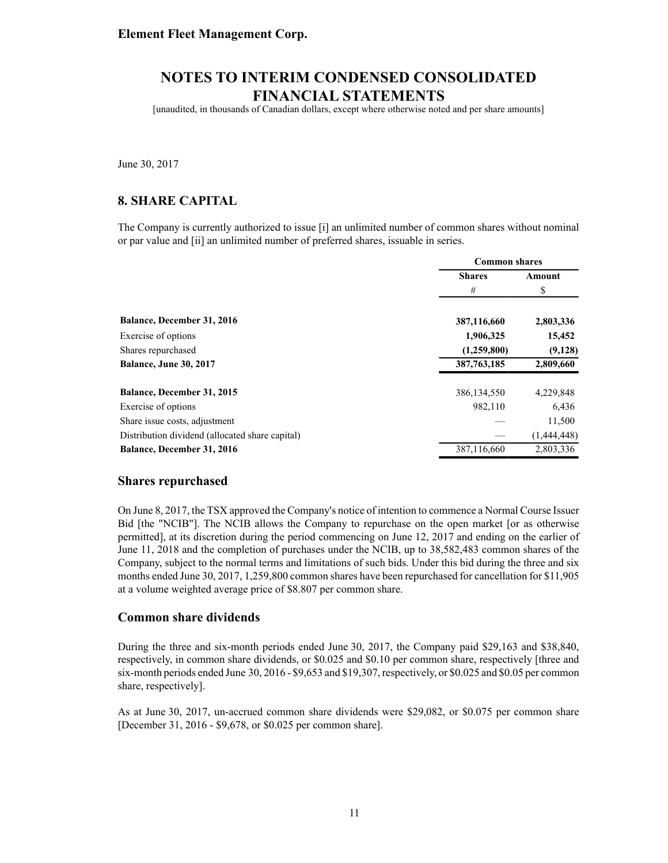[unaudited, in thousands of Canadian dollars, except where otherwise noted and per share amounts]

June 30, 2017

#### **8. SHARE CAPITAL**

The Company is currently authorized to issue [i] an unlimited number of common shares without nominal or par value and [ii] an unlimited number of preferred shares, issuable in series.

|                                                 | <b>Common shares</b> |             |  |
|-------------------------------------------------|----------------------|-------------|--|
|                                                 | <b>Shares</b>        | Amount      |  |
|                                                 | #                    | \$          |  |
| <b>Balance, December 31, 2016</b>               | 387,116,660          | 2,803,336   |  |
| Exercise of options                             | 1,906,325            | 15,452      |  |
| Shares repurchased                              | (1,259,800)          | (9,128)     |  |
| <b>Balance, June 30, 2017</b>                   | 387,763,185          | 2,809,660   |  |
| Balance, December 31, 2015                      | 386, 134, 550        | 4,229,848   |  |
| Exercise of options                             | 982,110              | 6,436       |  |
| Share issue costs, adjustment                   |                      | 11,500      |  |
| Distribution dividend (allocated share capital) |                      | (1,444,448) |  |
| <b>Balance, December 31, 2016</b>               | 387,116,660          | 2.803.336   |  |

#### **Shares repurchased**

On June 8, 2017, the TSX approved the Company's notice of intention to commence a Normal Course Issuer Bid [the "NCIB"]. The NCIB allows the Company to repurchase on the open market [or as otherwise permitted], at its discretion during the period commencing on June 12, 2017 and ending on the earlier of June 11, 2018 and the completion of purchases under the NCIB, up to 38,582,483 common shares of the Company, subject to the normal terms and limitations of such bids. Under this bid during the three and six months ended June 30, 2017, 1,259,800 common shares have been repurchased for cancellation for \$11,905 at a volume weighted average price of \$8.807 per common share.

#### **Common share dividends**

During the three and six-month periods ended June 30, 2017, the Company paid \$29,163 and \$38,840, respectively, in common share dividends, or \$0.025 and \$0.10 per common share, respectively [three and six-month periods ended June 30, 2016 - \$9,653 and \$19,307, respectively, or \$0.025 and \$0.05 per common share, respectively].

As at June 30, 2017, un-accrued common share dividends were \$29,082, or \$0.075 per common share [December 31, 2016 - \$9,678, or \$0.025 per common share].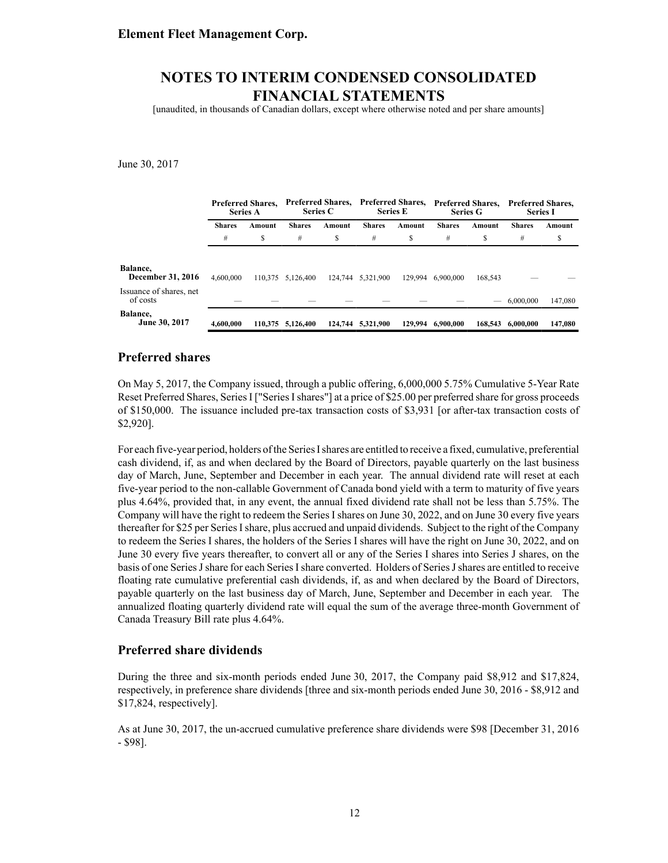[unaudited, in thousands of Canadian dollars, except where otherwise noted and per share amounts]

June 30, 2017

|                                      | <b>Preferred Shares.</b><br><b>Series A</b> |        | <b>Preferred Shares,</b><br><b>Series C</b> |         | <b>Preferred Shares.</b><br><b>Series E</b> |         | <b>Preferred Shares.</b><br><b>Series G</b> |                   | <b>Preferred Shares,</b><br><b>Series I</b> |         |
|--------------------------------------|---------------------------------------------|--------|---------------------------------------------|---------|---------------------------------------------|---------|---------------------------------------------|-------------------|---------------------------------------------|---------|
|                                      | <b>Shares</b>                               | Amount | <b>Shares</b>                               | Amount  | <b>Shares</b>                               | Amount  | <b>Shares</b>                               | Amount            | <b>Shares</b>                               | Amount  |
|                                      | #                                           | S      | #                                           | S       | #                                           | S       | #                                           | S                 | #                                           | S       |
| Balance,<br><b>December 31, 2016</b> | 4.600.000                                   |        | 110.375 5.126.400                           | 124,744 | 5,321,900                                   | 129.994 | 6.900.000                                   | 168.543           |                                             |         |
| Issuance of shares, net<br>of costs  |                                             |        |                                             |         |                                             |         |                                             | $\hspace{0.05cm}$ | 6.000.000                                   | 147,080 |
| Balance,<br>June 30, 2017            | 4.600.000                                   |        | 110.375 5.126.400                           |         | 124,744 5.321,900                           | 129,994 | 6.900.000                                   | 168,543           | 6.000.000                                   | 147,080 |

#### **Preferred shares**

On May 5, 2017, the Company issued, through a public offering, 6,000,000 5.75% Cumulative 5-Year Rate Reset Preferred Shares, Series I ["Series I shares"] at a price of \$25.00 per preferred share for gross proceeds of \$150,000. The issuance included pre-tax transaction costs of \$3,931 [or after-tax transaction costs of \$2,920].

For each five-year period, holders of the Series I shares are entitled to receive a fixed, cumulative, preferential cash dividend, if, as and when declared by the Board of Directors, payable quarterly on the last business day of March, June, September and December in each year. The annual dividend rate will reset at each five-year period to the non-callable Government of Canada bond yield with a term to maturity of five years plus 4.64%, provided that, in any event, the annual fixed dividend rate shall not be less than 5.75%. The Company will have the right to redeem the Series I shares on June 30, 2022, and on June 30 every five years thereafter for \$25 per Series I share, plus accrued and unpaid dividends. Subject to the right of the Company to redeem the Series I shares, the holders of the Series I shares will have the right on June 30, 2022, and on June 30 every five years thereafter, to convert all or any of the Series I shares into Series J shares, on the basis of one Series J share for each Series I share converted. Holders of Series J shares are entitled to receive floating rate cumulative preferential cash dividends, if, as and when declared by the Board of Directors, payable quarterly on the last business day of March, June, September and December in each year. The annualized floating quarterly dividend rate will equal the sum of the average three-month Government of Canada Treasury Bill rate plus 4.64%.

#### **Preferred share dividends**

During the three and six-month periods ended June 30, 2017, the Company paid \$8,912 and \$17,824, respectively, in preference share dividends [three and six-month periods ended June 30, 2016 - \$8,912 and \$17,824, respectively].

As at June 30, 2017, the un-accrued cumulative preference share dividends were \$98 [December 31, 2016 - \$98].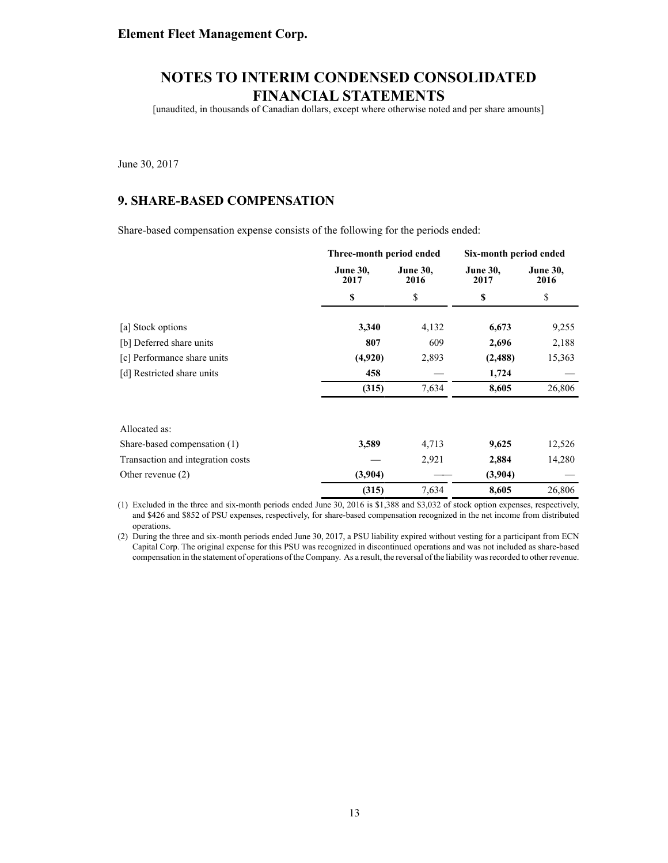[unaudited, in thousands of Canadian dollars, except where otherwise noted and per share amounts]

June 30, 2017

### **9. SHARE-BASED COMPENSATION**

Share-based compensation expense consists of the following for the periods ended:

|                                   | Three-month period ended |                         | Six-month period ended  |                         |  |  |
|-----------------------------------|--------------------------|-------------------------|-------------------------|-------------------------|--|--|
|                                   | <b>June 30,</b><br>2017  | <b>June 30,</b><br>2016 | <b>June 30,</b><br>2017 | <b>June 30,</b><br>2016 |  |  |
|                                   | \$                       | \$                      | \$                      | \$                      |  |  |
| [a] Stock options                 | 3,340                    | 4,132                   | 6,673                   | 9,255                   |  |  |
| [b] Deferred share units          | 807                      | 609                     | 2,696                   | 2,188                   |  |  |
| [c] Performance share units       | (4,920)                  | 2,893                   | (2,488)                 | 15,363                  |  |  |
| [d] Restricted share units        | 458                      |                         | 1,724                   |                         |  |  |
|                                   | (315)                    | 7,634                   | 8,605                   | 26,806                  |  |  |
| Allocated as:                     |                          |                         |                         |                         |  |  |
| Share-based compensation (1)      | 3,589                    | 4,713                   | 9,625                   | 12,526                  |  |  |
| Transaction and integration costs |                          | 2,921                   | 2,884                   | 14,280                  |  |  |
| Other revenue $(2)$               | (3,904)                  |                         | (3,904)                 |                         |  |  |
|                                   | (315)                    | 7,634                   | 8,605                   | 26,806                  |  |  |

(1) Excluded in the three and six-month periods ended June 30, 2016 is \$1,388 and \$3,032 of stock option expenses, respectively, and \$426 and \$852 of PSU expenses, respectively, for share-based compensation recognized in the net income from distributed operations.

(2) During the three and six-month periods ended June 30, 2017, a PSU liability expired without vesting for a participant from ECN Capital Corp. The original expense for this PSU was recognized in discontinued operations and was not included as share-based compensation in the statement of operations of the Company. As a result, the reversal of the liability was recorded to other revenue.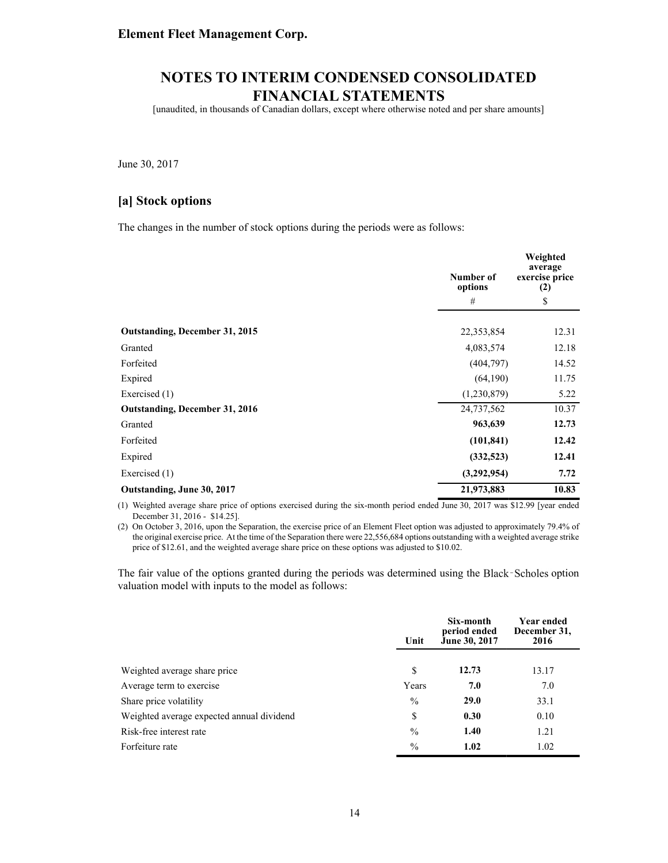[unaudited, in thousands of Canadian dollars, except where otherwise noted and per share amounts]

June 30, 2017

#### **[a] Stock options**

The changes in the number of stock options during the periods were as follows:

|                                       | Number of<br>options | Weighted<br>average<br>exercise price<br>(2) |
|---------------------------------------|----------------------|----------------------------------------------|
|                                       | #                    | \$                                           |
| <b>Outstanding, December 31, 2015</b> | 22,353,854           | 12.31                                        |
| Granted                               | 4,083,574            | 12.18                                        |
| Forfeited                             | (404, 797)           | 14.52                                        |
| Expired                               | (64, 190)            | 11.75                                        |
| Exercised (1)                         | (1,230,879)          | 5.22                                         |
| <b>Outstanding, December 31, 2016</b> | 24,737,562           | 10.37                                        |
| Granted                               | 963,639              | 12.73                                        |
| Forfeited                             | (101, 841)           | 12.42                                        |
| Expired                               | (332,523)            | 12.41                                        |
| Exercised (1)                         | (3,292,954)          | 7.72                                         |
| Outstanding, June 30, 2017            | 21,973,883           | 10.83                                        |

(1) Weighted average share price of options exercised during the six-month period ended June 30, 2017 was \$12.99 [year ended December 31, 2016 - \$14.25].

(2) On October 3, 2016, upon the Separation, the exercise price of an Element Fleet option was adjusted to approximately 79.4% of the original exercise price. At the time of the Separation there were 22,556,684 options outstanding with a weighted average strike price of \$12.61, and the weighted average share price on these options was adjusted to \$10.02.

The fair value of the options granted during the periods was determined using the Black-Scholes option valuation model with inputs to the model as follows:

|                                           | Unit          | Six-month<br>period ended<br>June 30, 2017 | <b>Year ended</b><br>December 31,<br>2016 |
|-------------------------------------------|---------------|--------------------------------------------|-------------------------------------------|
| Weighted average share price              | \$            | 12.73                                      | 13.17                                     |
| Average term to exercise                  | Years         | 7.0                                        | 7.0                                       |
| Share price volatility                    | $\%$          | <b>29.0</b>                                | 33.1                                      |
| Weighted average expected annual dividend | \$            | 0.30                                       | 0.10                                      |
| Risk-free interest rate                   | $\frac{0}{0}$ | 1.40                                       | 1.21                                      |
| Forfeiture rate                           | $\frac{0}{0}$ | 1.02                                       | 1.02                                      |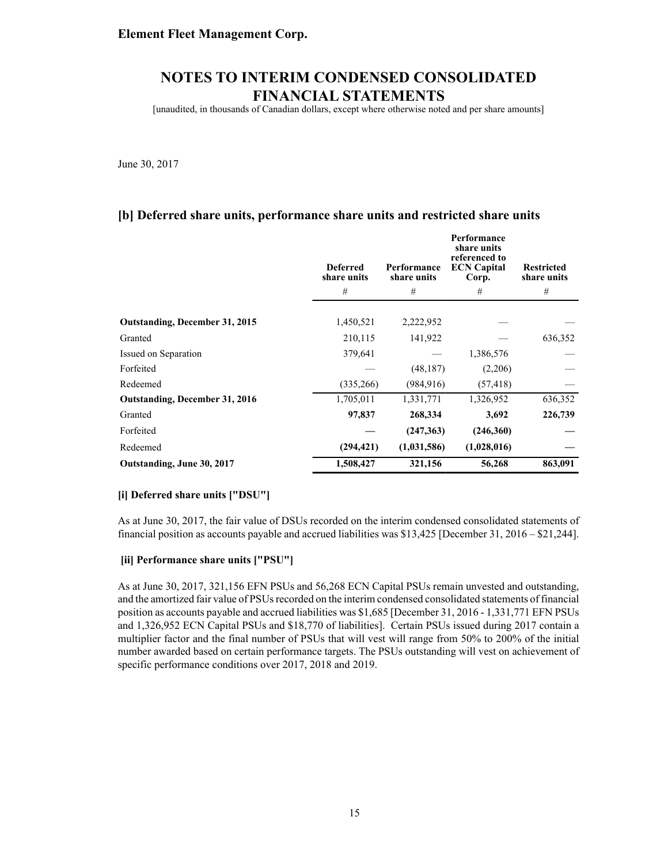[unaudited, in thousands of Canadian dollars, except where otherwise noted and per share amounts]

June 30, 2017

### **[b] Deferred share units, performance share units and restricted share units**

|                                       | <b>Deferred</b><br>share units | Performance<br>share units | Performance<br>share units<br>referenced to<br><b>ECN Capital</b><br>Corp. | <b>Restricted</b><br>share units |
|---------------------------------------|--------------------------------|----------------------------|----------------------------------------------------------------------------|----------------------------------|
|                                       | #                              | #                          | #                                                                          | #                                |
| Outstanding, December 31, 2015        | 1,450,521                      | 2,222,952                  |                                                                            |                                  |
| Granted                               | 210,115                        | 141,922                    |                                                                            | 636,352                          |
| Issued on Separation                  | 379,641                        |                            | 1,386,576                                                                  |                                  |
| Forfeited                             |                                | (48, 187)                  | (2,206)                                                                    |                                  |
| Redeemed                              | (335, 266)                     | (984, 916)                 | (57, 418)                                                                  |                                  |
| <b>Outstanding, December 31, 2016</b> | 1,705,011                      | 1,331,771                  | 1,326,952                                                                  | 636,352                          |
| Granted                               | 97,837                         | 268,334                    | 3,692                                                                      | 226,739                          |
| Forfeited                             |                                | (247, 363)                 | (246,360)                                                                  |                                  |
| Redeemed                              | (294, 421)                     | (1,031,586)                | (1,028,016)                                                                |                                  |
| Outstanding, June 30, 2017            | 1,508,427                      | 321,156                    | 56,268                                                                     | 863,091                          |

#### **[i] Deferred share units ["DSU"]**

As at June 30, 2017, the fair value of DSUs recorded on the interim condensed consolidated statements of financial position as accounts payable and accrued liabilities was \$13,425 [December 31, 2016 – \$21,244].

#### **[ii] Performance share units ["PSU"]**

As at June 30, 2017, 321,156 EFN PSUs and 56,268 ECN Capital PSUs remain unvested and outstanding, and the amortized fair value of PSUs recorded on the interim condensed consolidated statements of financial position as accounts payable and accrued liabilities was \$1,685 [December 31, 2016 - 1,331,771 EFN PSUs and 1,326,952 ECN Capital PSUs and \$18,770 of liabilities]. Certain PSUs issued during 2017 contain a multiplier factor and the final number of PSUs that will vest will range from 50% to 200% of the initial number awarded based on certain performance targets. The PSUs outstanding will vest on achievement of specific performance conditions over 2017, 2018 and 2019.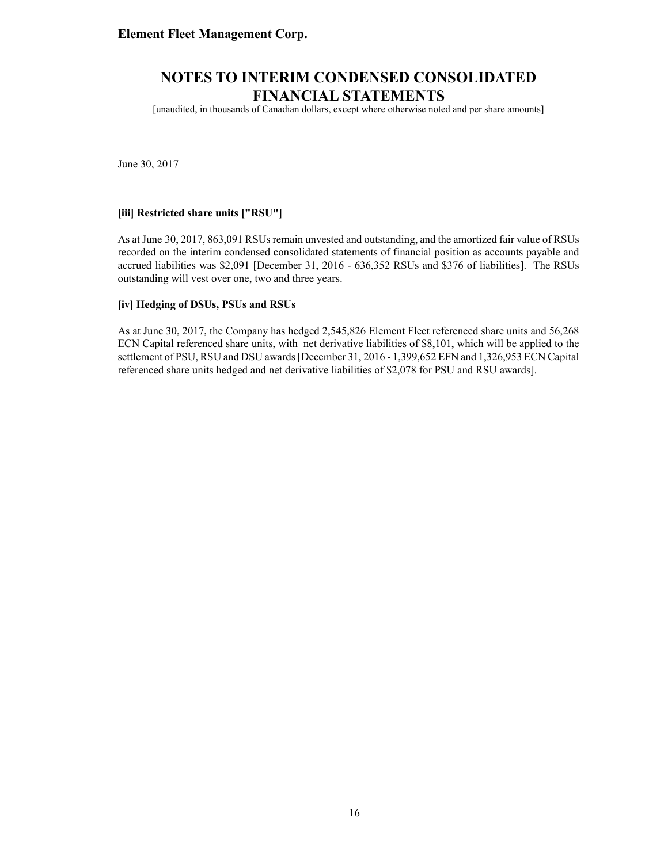[unaudited, in thousands of Canadian dollars, except where otherwise noted and per share amounts]

June 30, 2017

#### **[iii] Restricted share units ["RSU"]**

As at June 30, 2017, 863,091 RSUs remain unvested and outstanding, and the amortized fair value of RSUs recorded on the interim condensed consolidated statements of financial position as accounts payable and accrued liabilities was \$2,091 [December 31, 2016 - 636,352 RSUs and \$376 of liabilities]. The RSUs outstanding will vest over one, two and three years.

#### **[iv] Hedging of DSUs, PSUs and RSUs**

As at June 30, 2017, the Company has hedged 2,545,826 Element Fleet referenced share units and 56,268 ECN Capital referenced share units, with net derivative liabilities of \$8,101, which will be applied to the settlement of PSU, RSU and DSU awards [December 31, 2016 - 1,399,652 EFN and 1,326,953 ECN Capital referenced share units hedged and net derivative liabilities of \$2,078 for PSU and RSU awards].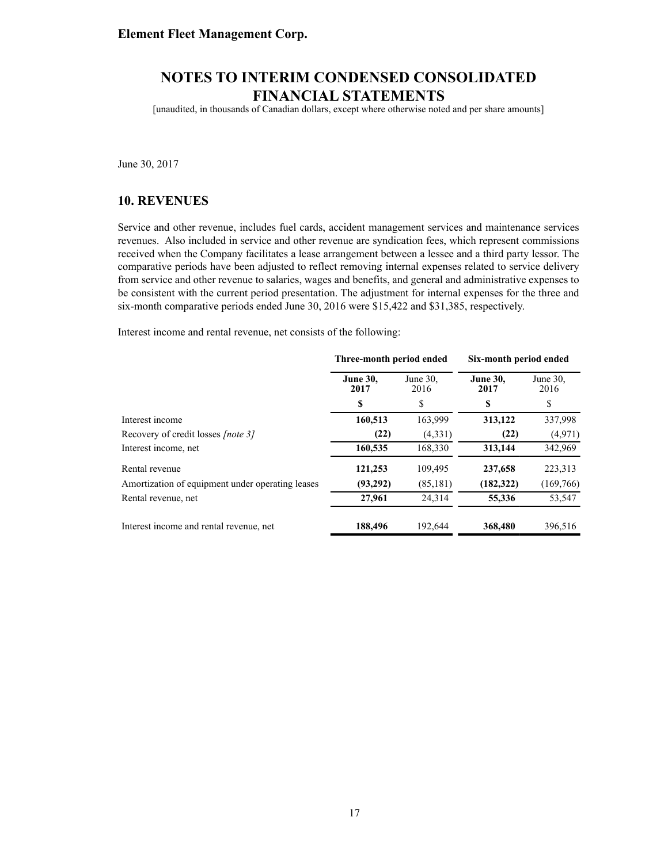[unaudited, in thousands of Canadian dollars, except where otherwise noted and per share amounts]

June 30, 2017

#### **10. REVENUES**

Service and other revenue, includes fuel cards, accident management services and maintenance services revenues. Also included in service and other revenue are syndication fees, which represent commissions received when the Company facilitates a lease arrangement between a lessee and a third party lessor. The comparative periods have been adjusted to reflect removing internal expenses related to service delivery from service and other revenue to salaries, wages and benefits, and general and administrative expenses to be consistent with the current period presentation. The adjustment for internal expenses for the three and six-month comparative periods ended June 30, 2016 were \$15,422 and \$31,385, respectively.

Interest income and rental revenue, net consists of the following:

|                                                  | Three-month period ended |                     | Six-month period ended  |                  |  |  |
|--------------------------------------------------|--------------------------|---------------------|-------------------------|------------------|--|--|
|                                                  | <b>June 30,</b><br>2017  | June $30$ .<br>2016 | <b>June 30,</b><br>2017 | June 30.<br>2016 |  |  |
|                                                  | S                        | S                   | S                       | \$               |  |  |
| Interest income                                  | 160,513                  | 163,999             | 313,122                 | 337,998          |  |  |
| Recovery of credit losses <i>[note 3]</i>        | (22)                     | (4,331)             | (22)                    | (4,971)          |  |  |
| Interest income, net                             | 160,535                  | 168,330             | 313,144                 | 342,969          |  |  |
| Rental revenue                                   | 121,253                  | 109,495             | 237,658                 | 223,313          |  |  |
| Amortization of equipment under operating leases | (93,292)                 | (85, 181)           | (182,322)               | (169, 766)       |  |  |
| Rental revenue, net                              | 27,961                   | 24,314              | 55,336                  | 53,547           |  |  |
| Interest income and rental revenue, net          | 188,496                  | 192,644             | 368,480                 | 396,516          |  |  |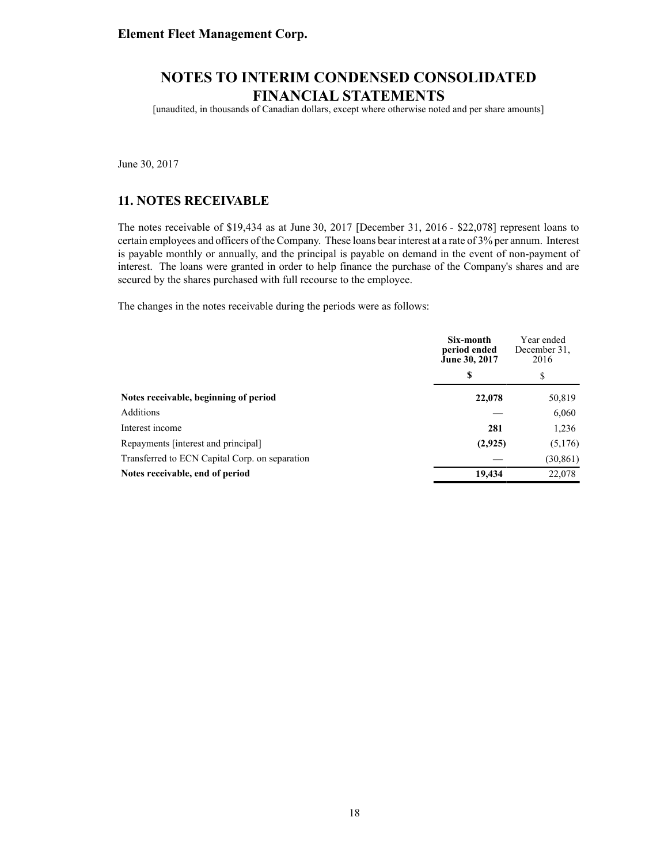[unaudited, in thousands of Canadian dollars, except where otherwise noted and per share amounts]

June 30, 2017

### **11. NOTES RECEIVABLE**

The notes receivable of \$19,434 as at June 30, 2017 [December 31, 2016 - \$22,078] represent loans to certain employees and officers of the Company. These loans bear interest at a rate of 3% per annum. Interest is payable monthly or annually, and the principal is payable on demand in the event of non-payment of interest. The loans were granted in order to help finance the purchase of the Company's shares and are secured by the shares purchased with full recourse to the employee.

The changes in the notes receivable during the periods were as follows:

|                                                | Six-month<br>period ended<br>June 30, 2017 | Year ended<br>December 31.<br>2016 |
|------------------------------------------------|--------------------------------------------|------------------------------------|
|                                                | S                                          | S                                  |
| Notes receivable, beginning of period          | 22,078                                     | 50,819                             |
| Additions                                      |                                            | 6,060                              |
| Interest income                                | 281                                        | 1,236                              |
| Repayments [interest and principal]            | (2,925)                                    | (5,176)                            |
| Transferred to ECN Capital Corp. on separation |                                            | (30, 861)                          |
| Notes receivable, end of period                | 19,434                                     | 22,078                             |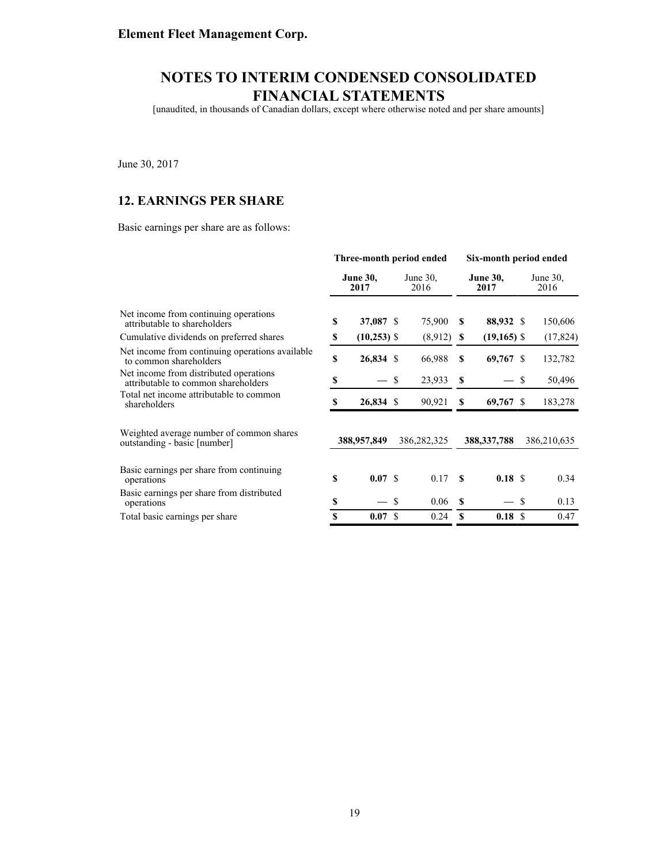[unaudited, in thousands of Canadian dollars, except where otherwise noted and per share amounts]

June 30, 2017

### **12. EARNINGS PER SHARE**

Basic earnings per share are as follows:

|                                                                               | Three-month period ended |                         |    | Six-month period ended |          |                         |     |                  |
|-------------------------------------------------------------------------------|--------------------------|-------------------------|----|------------------------|----------|-------------------------|-----|------------------|
|                                                                               |                          | <b>June 30,</b><br>2017 |    | June $30$ .<br>2016    |          | <b>June 30,</b><br>2017 |     | June 30.<br>2016 |
| Net income from continuing operations.<br>attributable to shareholders        | \$                       | 37,087 \$               |    | 75,900                 | \$.      | 88,932 \$               |     | 150,606          |
| Cumulative dividends on preferred shares                                      | \$                       | $(10,253)$ \$           |    | (8,912)                | S        | $(19,165)$ \$           |     | (17, 824)        |
| Net income from continuing operations available<br>to common shareholders     | \$                       | 26,834 \$               |    | 66,988                 | S        | 69,767 \$               |     | 132,782          |
| Net income from distributed operations<br>attributable to common shareholders | S                        |                         | \$ | 23,933                 | <b>S</b> |                         | \$  | 50,496           |
| Total net income attributable to common<br>shareholders                       | \$                       | 26,834 \$               |    | 90,921                 | S        | 69,767 \$               |     | 183,278          |
| Weighted average number of common shares<br>outstanding - basic [number]      |                          | 388,957,849             |    | 386,282,325            |          | 388, 337, 788           |     | 386,210,635      |
| Basic earnings per share from continuing<br>operations                        | \$                       | 0.07 S                  |    | 0.17                   | -8       | 0.18 S                  |     | 0.34             |
| Basic earnings per share from distributed<br>operations                       | \$                       |                         | \$ | 0.06                   | S        |                         | \$  | 0.13             |
| Total basic earnings per share                                                | \$                       | 0.07 S                  |    | 0.24                   | S        | 0.18                    | \$. | 0.47             |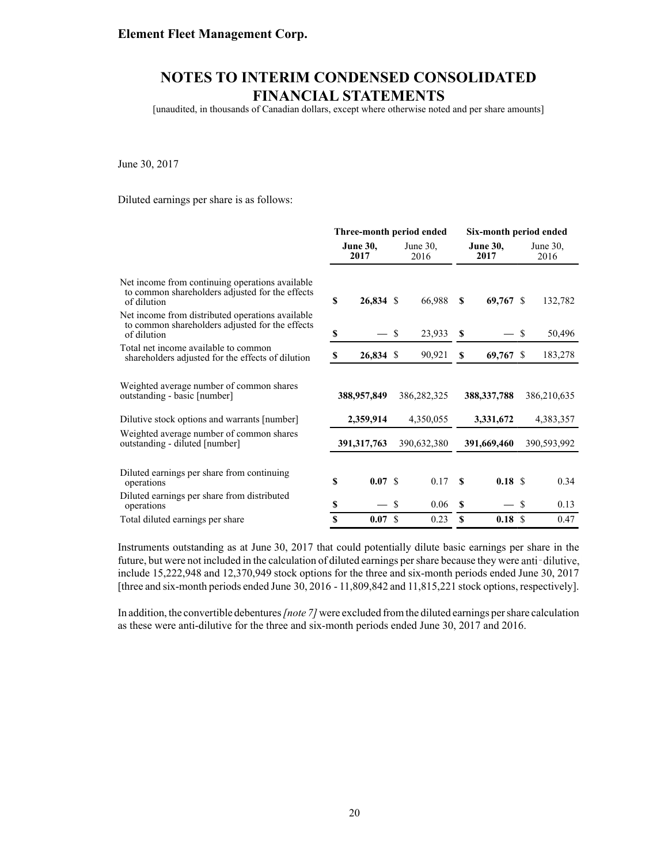[unaudited, in thousands of Canadian dollars, except where otherwise noted and per share amounts]

June 30, 2017

Diluted earnings per share is as follows:

|                                                                                                                    | Three-month period ended |               |               | Six-month period ended |          |                         |               |                     |
|--------------------------------------------------------------------------------------------------------------------|--------------------------|---------------|---------------|------------------------|----------|-------------------------|---------------|---------------------|
|                                                                                                                    | <b>June 30,</b><br>2017  |               |               | June 30.<br>2016       |          | <b>June 30,</b><br>2017 |               | June $30$ .<br>2016 |
| Net income from continuing operations available<br>to common shareholders adjusted for the effects<br>of dilution  | S                        | 26,834 \$     |               | 66,988                 | <b>S</b> | $69,767$ \$             |               | 132,782             |
| Net income from distributed operations available<br>to common shareholders adjusted for the effects<br>of dilution | \$                       |               | \$            | 23,933                 | S        |                         | S             | 50,496              |
| Total net income available to common<br>shareholders adjusted for the effects of dilution                          | S                        | 26,834 \$     |               | 90,921                 | S        | $69,767$ \$             |               | 183,278             |
| Weighted average number of common shares<br>outstanding - basic [number]                                           |                          | 388,957,849   |               | 386, 282, 325          |          | 388, 337, 788           |               | 386,210,635         |
| Dilutive stock options and warrants [number]                                                                       |                          | 2,359,914     |               | 4,350,055              |          | 3,331,672               |               | 4,383,357           |
| Weighted average number of common shares<br>outstanding - diluted [number]                                         |                          | 391, 317, 763 |               | 390,632,380            |          | 391,669,460             |               | 390,593,992         |
| Diluted earnings per share from continuing<br>operations                                                           | \$                       | 0.07 S        |               | 0.17                   | £.       | 0.18 S                  |               | 0.34                |
| Diluted earnings per share from distributed<br>operations                                                          | \$                       |               | \$            | 0.06                   | <b>S</b> |                         | <sup>\$</sup> | 0.13                |
| Total diluted earnings per share                                                                                   | \$                       | 0.07          | <sup>\$</sup> | 0.23                   | S        | 0.18S                   |               | 0.47                |

Instruments outstanding as at June 30, 2017 that could potentially dilute basic earnings per share in the future, but were not included in the calculation of diluted earnings per share because they were anti-dilutive, include 15,222,948 and 12,370,949 stock options for the three and six-month periods ended June 30, 2017 [three and six-month periods ended June 30, 2016 - 11,809,842 and 11,815,221 stock options, respectively].

In addition, the convertible debentures *[note 7]* were excluded from the diluted earnings per share calculation as these were anti-dilutive for the three and six-month periods ended June 30, 2017 and 2016.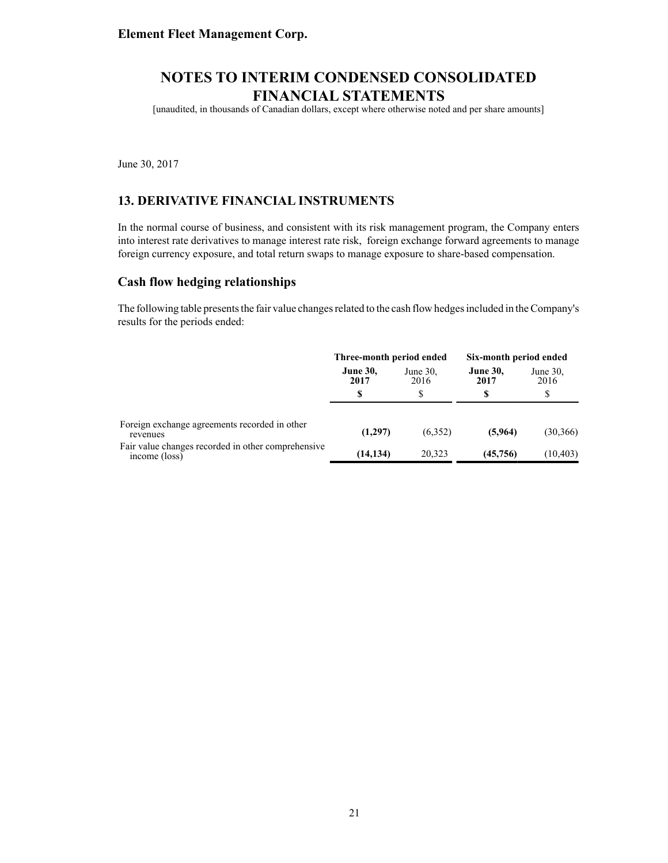[unaudited, in thousands of Canadian dollars, except where otherwise noted and per share amounts]

June 30, 2017

### **13. DERIVATIVE FINANCIAL INSTRUMENTS**

In the normal course of business, and consistent with its risk management program, the Company enters into interest rate derivatives to manage interest rate risk, foreign exchange forward agreements to manage foreign currency exposure, and total return swaps to manage exposure to share-based compensation.

#### **Cash flow hedging relationships**

The following table presents the fair value changes related to the cash flow hedges included in the Company's results for the periods ended:

|                                                                     | Three-month period ended |                     | Six-month period ended  |                     |
|---------------------------------------------------------------------|--------------------------|---------------------|-------------------------|---------------------|
|                                                                     | <b>June 30,</b><br>2017  | June $30$ ,<br>2016 | <b>June 30,</b><br>2017 | June $30$ ,<br>2016 |
|                                                                     | S                        | \$                  | \$                      | \$                  |
| Foreign exchange agreements recorded in other<br>revenues           | (1,297)                  | (6.352)             | (5,964)                 | (30, 366)           |
| Fair value changes recorded in other comprehensive<br>income (loss) | (14, 134)                | 20.323              | (45, 756)               | (10, 403)           |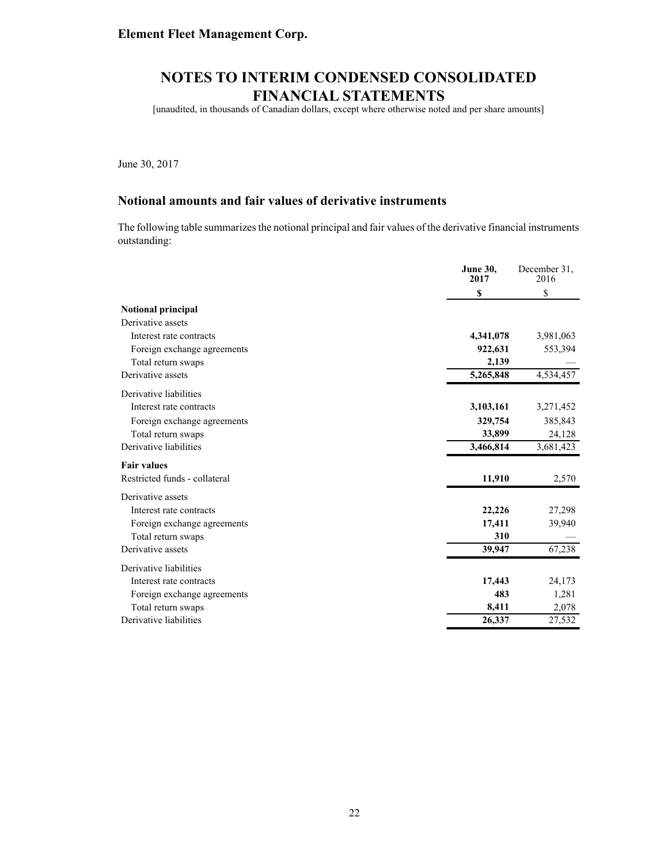[unaudited, in thousands of Canadian dollars, except where otherwise noted and per share amounts]

June 30, 2017

### **Notional amounts and fair values of derivative instruments**

The following table summarizes the notional principal and fair values of the derivative financial instruments outstanding:

|                               | <b>June 30,</b><br>2017 | December 31.<br>2016 |
|-------------------------------|-------------------------|----------------------|
|                               | \$                      | \$                   |
| Notional principal            |                         |                      |
| Derivative assets             |                         |                      |
| Interest rate contracts       | 4,341,078               | 3,981,063            |
| Foreign exchange agreements   | 922,631                 | 553,394              |
| Total return swaps            | 2,139                   |                      |
| Derivative assets             | 5,265,848               | 4,534,457            |
| Derivative liabilities        |                         |                      |
| Interest rate contracts       | 3,103,161               | 3,271,452            |
| Foreign exchange agreements   | 329,754                 | 385,843              |
| Total return swaps            | 33,899                  | 24,128               |
| Derivative liabilities        | 3,466,814               | 3,681,423            |
| <b>Fair values</b>            |                         |                      |
| Restricted funds - collateral | 11,910                  | 2,570                |
| Derivative assets             |                         |                      |
| Interest rate contracts       | 22,226                  | 27,298               |
| Foreign exchange agreements   | 17,411                  | 39,940               |
| Total return swaps            | 310                     |                      |
| Derivative assets             | 39,947                  | 67,238               |
| Derivative liabilities        |                         |                      |
| Interest rate contracts       | 17,443                  | 24,173               |
| Foreign exchange agreements   | 483                     | 1,281                |
| Total return swaps            | 8,411                   | 2,078                |
| Derivative liabilities        | 26,337                  | 27,532               |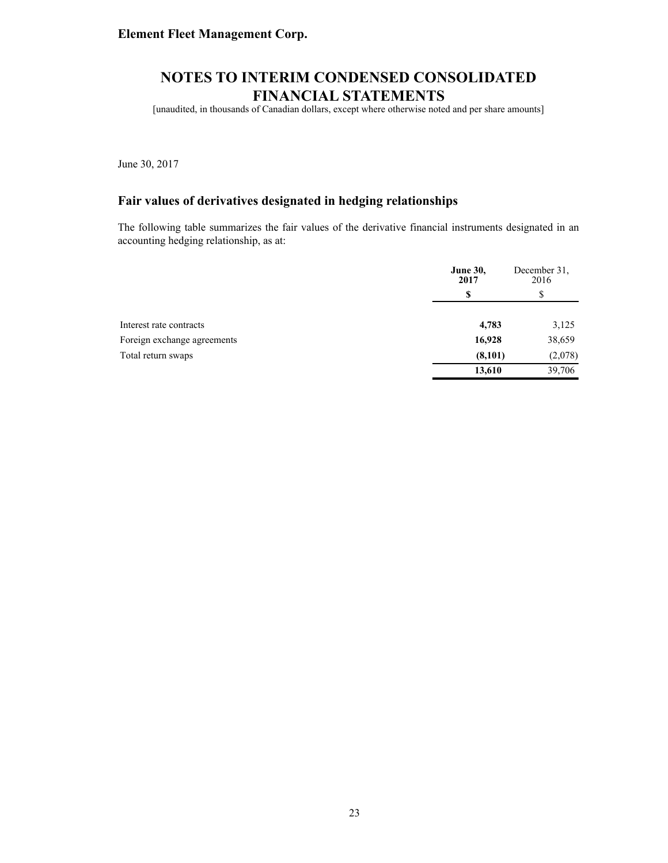[unaudited, in thousands of Canadian dollars, except where otherwise noted and per share amounts]

June 30, 2017

### **Fair values of derivatives designated in hedging relationships**

The following table summarizes the fair values of the derivative financial instruments designated in an accounting hedging relationship, as at:

|                             | <b>June 30,</b><br>2017 | December 31,<br>2016 |
|-----------------------------|-------------------------|----------------------|
|                             | S                       | \$                   |
| Interest rate contracts     | 4,783                   | 3,125                |
| Foreign exchange agreements | 16,928                  | 38,659               |
| Total return swaps          | (8,101)                 | (2,078)              |
|                             | 13,610                  | 39,706               |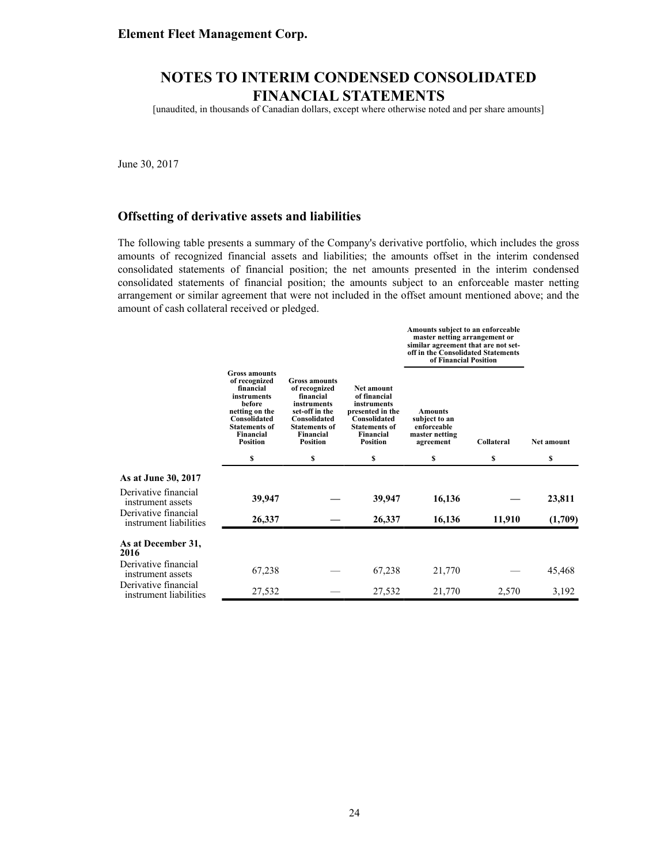[unaudited, in thousands of Canadian dollars, except where otherwise noted and per share amounts]

June 30, 2017

#### **Offsetting of derivative assets and liabilities**

The following table presents a summary of the Company's derivative portfolio, which includes the gross amounts of recognized financial assets and liabilities; the amounts offset in the interim condensed consolidated statements of financial position; the net amounts presented in the interim condensed consolidated statements of financial position; the amounts subject to an enforceable master netting arrangement or similar agreement that were not included in the offset amount mentioned above; and the amount of cash collateral received or pledged.

|                                                |                                                                                                                                                                       |                                                                                                                                                             |                                                                                                                                       | Amounts subject to an enforceable<br>master netting arrangement or<br>similar agreement that are not set-<br>off in the Consolidated Statements<br>of Financial Position |            |                   |
|------------------------------------------------|-----------------------------------------------------------------------------------------------------------------------------------------------------------------------|-------------------------------------------------------------------------------------------------------------------------------------------------------------|---------------------------------------------------------------------------------------------------------------------------------------|--------------------------------------------------------------------------------------------------------------------------------------------------------------------------|------------|-------------------|
|                                                | <b>Gross amounts</b><br>of recognized<br>financial<br>instruments<br>before<br>netting on the<br>Consolidated<br><b>Statements of</b><br>Financial<br><b>Position</b> | <b>Gross amounts</b><br>of recognized<br>financial<br>instruments<br>set-off in the<br>Consolidated<br><b>Statements of</b><br>Financial<br><b>Position</b> | Net amount<br>of financial<br>instruments<br>presented in the<br>Consolidated<br><b>Statements of</b><br>Financial<br><b>Position</b> | Amounts<br>subject to an<br>enforceable<br>master netting<br>agreement                                                                                                   | Collateral | <b>Net amount</b> |
|                                                | s                                                                                                                                                                     | \$                                                                                                                                                          | \$                                                                                                                                    | \$                                                                                                                                                                       | \$         | \$                |
| As at June 30, 2017                            |                                                                                                                                                                       |                                                                                                                                                             |                                                                                                                                       |                                                                                                                                                                          |            |                   |
| Derivative financial<br>instrument assets      | 39,947                                                                                                                                                                |                                                                                                                                                             | 39,947                                                                                                                                | 16,136                                                                                                                                                                   |            | 23,811            |
| Derivative financial<br>instrument liabilities | 26,337                                                                                                                                                                |                                                                                                                                                             | 26,337                                                                                                                                | 16,136                                                                                                                                                                   | 11,910     | (1,709)           |
| As at December 31,<br>2016                     |                                                                                                                                                                       |                                                                                                                                                             |                                                                                                                                       |                                                                                                                                                                          |            |                   |
| Derivative financial<br>instrument assets      | 67,238                                                                                                                                                                |                                                                                                                                                             | 67,238                                                                                                                                | 21,770                                                                                                                                                                   |            | 45,468            |
| Derivative financial<br>instrument liabilities | 27,532                                                                                                                                                                |                                                                                                                                                             | 27,532                                                                                                                                | 21,770                                                                                                                                                                   | 2,570      | 3,192             |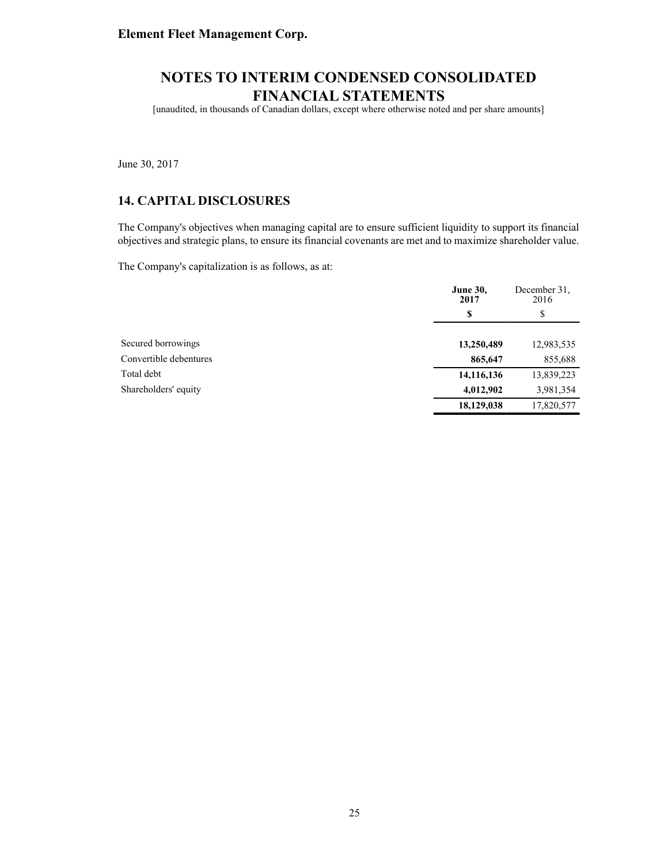[unaudited, in thousands of Canadian dollars, except where otherwise noted and per share amounts]

June 30, 2017

### **14. CAPITAL DISCLOSURES**

The Company's objectives when managing capital are to ensure sufficient liquidity to support its financial objectives and strategic plans, to ensure its financial covenants are met and to maximize shareholder value.

The Company's capitalization is as follows, as at:

|                        | <b>June 30,</b><br>2017 | December 31.<br>2016 |
|------------------------|-------------------------|----------------------|
|                        | \$                      | \$                   |
| Secured borrowings     | 13,250,489              | 12,983,535           |
| Convertible debentures | 865,647                 | 855,688              |
| Total debt             | 14,116,136              | 13,839,223           |
| Shareholders' equity   | 4,012,902               | 3,981,354            |
|                        | 18,129,038              | 17,820,577           |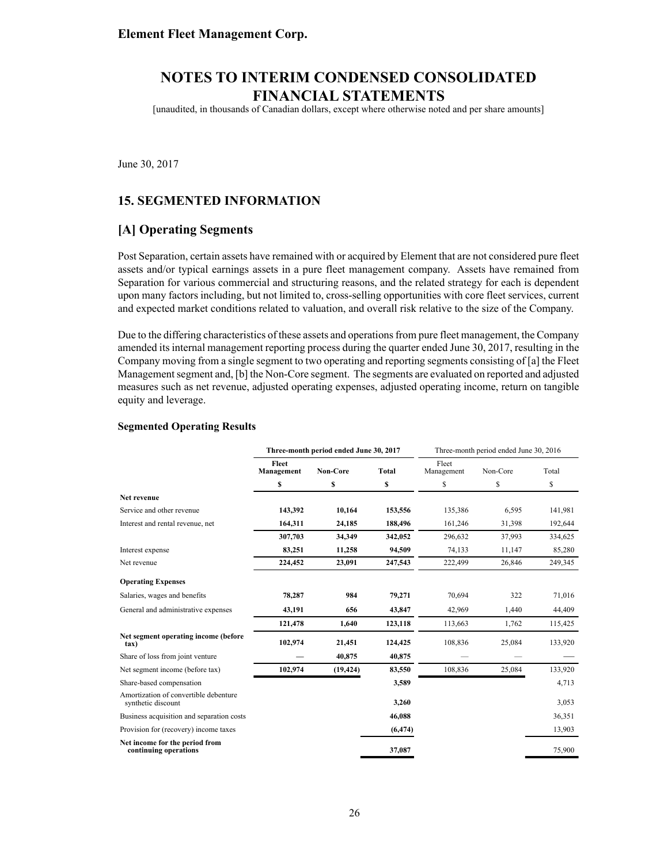[unaudited, in thousands of Canadian dollars, except where otherwise noted and per share amounts]

June 30, 2017

### **15. SEGMENTED INFORMATION**

### **[A] Operating Segments**

Post Separation, certain assets have remained with or acquired by Element that are not considered pure fleet assets and/or typical earnings assets in a pure fleet management company. Assets have remained from Separation for various commercial and structuring reasons, and the related strategy for each is dependent upon many factors including, but not limited to, cross-selling opportunities with core fleet services, current and expected market conditions related to valuation, and overall risk relative to the size of the Company.

Due to the differing characteristics of these assets and operations from pure fleet management, the Company amended its internal management reporting process during the quarter ended June 30, 2017, resulting in the Company moving from a single segment to two operating and reporting segments consisting of [a] the Fleet Management segment and, [b] the Non-Core segment. The segments are evaluated on reported and adjusted measures such as net revenue, adjusted operating expenses, adjusted operating income, return on tangible equity and leverage.

#### **Segmented Operating Results**

|                                                             |                     | Three-month period ended June 30, 2017 |          | Three-month period ended June 30, 2016 |          |         |  |
|-------------------------------------------------------------|---------------------|----------------------------------------|----------|----------------------------------------|----------|---------|--|
|                                                             | Fleet<br>Management | <b>Non-Core</b>                        | Total    | Fleet<br>Management                    | Non-Core | Total   |  |
|                                                             | \$                  | \$                                     | \$       | \$                                     | \$       | \$      |  |
| Net revenue                                                 |                     |                                        |          |                                        |          |         |  |
| Service and other revenue                                   | 143,392             | 10,164                                 | 153,556  | 135,386                                | 6,595    | 141,981 |  |
| Interest and rental revenue, net                            | 164,311             | 24,185                                 | 188,496  | 161,246                                | 31,398   | 192,644 |  |
|                                                             | 307,703             | 34,349                                 | 342,052  | 296,632                                | 37,993   | 334,625 |  |
| Interest expense                                            | 83,251              | 11,258                                 | 94,509   | 74,133                                 | 11,147   | 85,280  |  |
| Net revenue                                                 | 224,452             | 23,091                                 | 247,543  | 222,499                                | 26,846   | 249,345 |  |
| <b>Operating Expenses</b>                                   |                     |                                        |          |                                        |          |         |  |
| Salaries, wages and benefits                                | 78,287              | 984                                    | 79,271   | 70,694                                 | 322      | 71,016  |  |
| General and administrative expenses                         | 43,191              | 656                                    | 43,847   | 42,969                                 | 1,440    | 44,409  |  |
|                                                             | 121,478             | 1,640                                  | 123,118  | 113,663                                | 1,762    | 115,425 |  |
| Net segment operating income (before<br>tax)                | 102,974             | 21,451                                 | 124,425  | 108,836                                | 25,084   | 133,920 |  |
| Share of loss from joint venture                            |                     | 40,875                                 | 40,875   |                                        |          |         |  |
| Net segment income (before tax)                             | 102,974             | (19, 424)                              | 83,550   | 108,836                                | 25,084   | 133,920 |  |
| Share-based compensation                                    |                     |                                        | 3,589    |                                        |          | 4,713   |  |
| Amortization of convertible debenture<br>synthetic discount |                     |                                        | 3,260    |                                        |          | 3,053   |  |
| Business acquisition and separation costs                   |                     |                                        | 46,088   |                                        |          | 36,351  |  |
| Provision for (recovery) income taxes                       |                     |                                        | (6, 474) |                                        |          | 13,903  |  |
| Net income for the period from<br>continuing operations     |                     |                                        | 37,087   |                                        |          | 75,900  |  |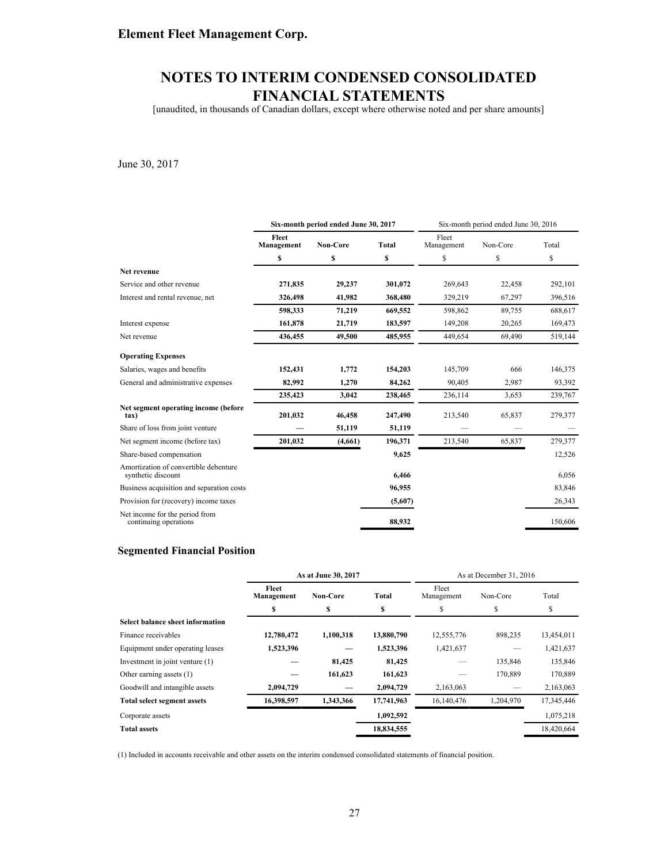[unaudited, in thousands of Canadian dollars, except where otherwise noted and per share amounts]

June 30, 2017

|                                                             | Six-month period ended June 30, 2017 |          |         | Six-month period ended June 30, 2016 |          |         |
|-------------------------------------------------------------|--------------------------------------|----------|---------|--------------------------------------|----------|---------|
|                                                             | Fleet<br>Management                  | Non-Core | Total   | Fleet<br>Management                  | Non-Core | Total   |
|                                                             | \$                                   | \$       | \$      | \$                                   | \$       | \$      |
| Net revenue                                                 |                                      |          |         |                                      |          |         |
| Service and other revenue                                   | 271,835                              | 29,237   | 301,072 | 269,643                              | 22,458   | 292,101 |
| Interest and rental revenue, net                            | 326,498                              | 41,982   | 368,480 | 329,219                              | 67,297   | 396,516 |
|                                                             | 598,333                              | 71,219   | 669,552 | 598,862                              | 89,755   | 688,617 |
| Interest expense                                            | 161,878                              | 21,719   | 183,597 | 149,208                              | 20,265   | 169,473 |
| Net revenue                                                 | 436,455                              | 49,500   | 485,955 | 449,654                              | 69,490   | 519,144 |
| <b>Operating Expenses</b>                                   |                                      |          |         |                                      |          |         |
| Salaries, wages and benefits                                | 152,431                              | 1,772    | 154,203 | 145,709                              | 666      | 146,375 |
| General and administrative expenses                         | 82,992                               | 1,270    | 84,262  | 90,405                               | 2,987    | 93,392  |
|                                                             | 235,423                              | 3.042    | 238,465 | 236,114                              | 3,653    | 239,767 |
| Net segment operating income (before<br>tax)                | 201,032                              | 46,458   | 247,490 | 213,540                              | 65,837   | 279,377 |
| Share of loss from joint venture                            |                                      | 51,119   | 51,119  |                                      |          |         |
| Net segment income (before tax)                             | 201,032                              | (4,661)  | 196,371 | 213,540                              | 65,837   | 279,377 |
| Share-based compensation                                    |                                      |          | 9,625   |                                      |          | 12,526  |
| Amortization of convertible debenture<br>synthetic discount |                                      |          | 6,466   |                                      |          | 6,056   |
| Business acquisition and separation costs                   |                                      |          | 96,955  |                                      |          | 83,846  |
| Provision for (recovery) income taxes                       |                                      |          | (5,607) |                                      |          | 26,343  |
| Net income for the period from<br>continuing operations     |                                      |          | 88.932  |                                      |          | 150,606 |

#### **Segmented Financial Position**

|                                         | As at June 30, 2017 |                 |            | As at December 31, 2016 |           |            |  |
|-----------------------------------------|---------------------|-----------------|------------|-------------------------|-----------|------------|--|
|                                         | Fleet<br>Management | <b>Non-Core</b> | Total      | Fleet<br>Management     | Non-Core  | Total      |  |
|                                         |                     | \$              | S          | S                       |           | \$         |  |
| <b>Select balance sheet information</b> |                     |                 |            |                         |           |            |  |
| Finance receivables                     | 12,780,472          | 1,100,318       | 13,880,790 | 12,555,776              | 898,235   | 13,454,011 |  |
| Equipment under operating leases        | 1,523,396           |                 | 1,523,396  | 1,421,637               |           | 1,421,637  |  |
| Investment in joint venture $(1)$       |                     | 81,425          | 81,425     |                         | 135,846   | 135,846    |  |
| Other earning assets (1)                |                     | 161,623         | 161,623    |                         | 170,889   | 170,889    |  |
| Goodwill and intangible assets          | 2.094.729           |                 | 2,094,729  | 2,163,063               |           | 2,163,063  |  |
| <b>Total select segment assets</b>      | 16,398,597          | 1,343,366       | 17,741,963 | 16,140,476              | 1,204,970 | 17,345,446 |  |
| Corporate assets                        |                     |                 | 1,092,592  |                         |           | 1,075,218  |  |
| <b>Total assets</b>                     |                     |                 | 18,834,555 |                         |           | 18,420,664 |  |

(1) Included in accounts receivable and other assets on the interim condensed consolidated statements of financial position.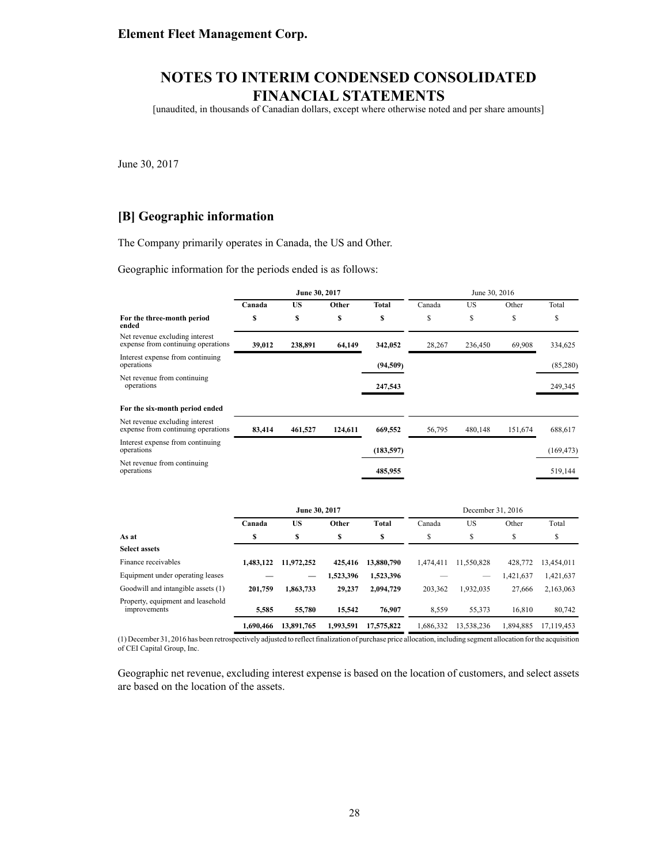[unaudited, in thousands of Canadian dollars, except where otherwise noted and per share amounts]

June 30, 2017

### **[B] Geographic information**

The Company primarily operates in Canada, the US and Other.

Geographic information for the periods ended is as follows:

|                                                                      | June 30, 2017 |               |           | June 30, 2016 |           |                   |           |            |
|----------------------------------------------------------------------|---------------|---------------|-----------|---------------|-----------|-------------------|-----------|------------|
|                                                                      | Canada        | <b>US</b>     | Other     | <b>Total</b>  | Canada    | <b>US</b>         | Other     | Total      |
| For the three-month period<br>ended                                  | \$            | \$            | \$        | S             | \$        | \$                | \$        | \$         |
| Net revenue excluding interest<br>expense from continuing operations | 39,012        | 238,891       | 64,149    | 342,052       | 28,267    | 236,450           | 69,908    | 334,625    |
| Interest expense from continuing<br>operations                       |               |               |           | (94, 509)     |           |                   |           | (85,280)   |
| Net revenue from continuing<br>operations                            |               |               |           | 247,543       |           |                   |           | 249,345    |
| For the six-month period ended                                       |               |               |           |               |           |                   |           |            |
| Net revenue excluding interest<br>expense from continuing operations | 83,414        | 461,527       | 124,611   | 669,552       | 56,795    | 480,148           | 151,674   | 688,617    |
| Interest expense from continuing<br>operations                       |               |               |           | (183, 597)    |           |                   |           | (169, 473) |
| Net revenue from continuing<br>operations                            |               |               |           | 485,955       |           |                   |           | 519,144    |
|                                                                      |               | June 30, 2017 |           |               |           | December 31, 2016 |           |            |
|                                                                      | Canada        | <b>US</b>     | Other     | <b>Total</b>  | Canada    | <b>US</b>         | Other     | Total      |
| As at                                                                | \$            | \$            | \$        | \$            | \$        | \$                | \$        | \$         |
| <b>Select assets</b>                                                 |               |               |           |               |           |                   |           |            |
| Finance receivables                                                  | 1,483,122     | 11,972,252    | 425,416   | 13,880,790    | 1,474,411 | 11,550,828        | 428,772   | 13,454,011 |
| Equipment under operating leases                                     |               |               | 1,523,396 | 1,523,396     |           |                   | 1,421,637 | 1,421,637  |
| Goodwill and intangible assets (1)                                   | 201,759       | 1,863,733     | 29,237    | 2,094,729     | 203,362   | 1,932,035         | 27,666    | 2,163,063  |
| Property, equipment and leasehold<br>improvements                    | 5.585         | 55,780        | 15.542    | 76.907        | 8.559     | 55.373            | 16.810    | 80.742     |

(1) December 31, 2016 has been retrospectively adjusted to reflect finalization of purchase price allocation, including segment allocation for the acquisition of CEI Capital Group, Inc.

improvements **5,585 55,780 15,542 76,907** 8,559 55,373 16,810 80,742

**1,690,466 13,891,765 1,993,591 17,575,822** 1,686,332 13,538,236 1,894,885 17,119,453

Geographic net revenue, excluding interest expense is based on the location of customers, and select assets are based on the location of the assets.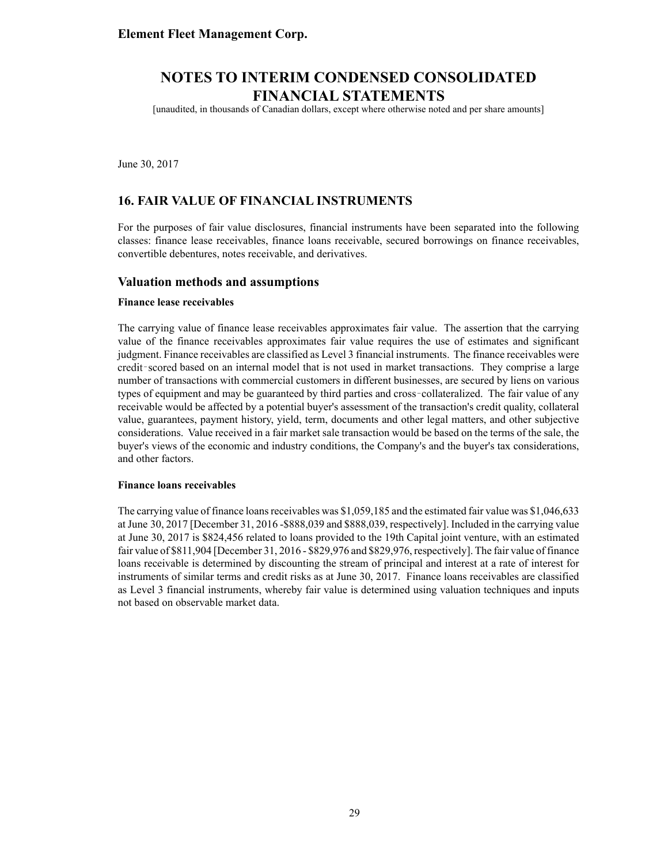[unaudited, in thousands of Canadian dollars, except where otherwise noted and per share amounts]

June 30, 2017

### **16. FAIR VALUE OF FINANCIAL INSTRUMENTS**

For the purposes of fair value disclosures, financial instruments have been separated into the following classes: finance lease receivables, finance loans receivable, secured borrowings on finance receivables, convertible debentures, notes receivable, and derivatives.

#### **Valuation methods and assumptions**

#### **Finance lease receivables**

The carrying value of finance lease receivables approximates fair value. The assertion that the carrying value of the finance receivables approximates fair value requires the use of estimates and significant judgment. Finance receivables are classified as Level 3 financial instruments. The finance receivables were based on an internal model that is not used in market transactions. They comprise a large number of transactions with commercial customers in different businesses, are secured by liens on various types of equipment and may be guaranteed by third parties and cross collateralized. The fair value of any receivable would be affected by a potential buyer's assessment of the transaction's credit quality, collateral value, guarantees, payment history, yield, term, documents and other legal matters, and other subjective considerations. Value received in a fair market sale transaction would be based on the terms of the sale, the buyer's views of the economic and industry conditions, the Company's and the buyer's tax considerations, and other factors.

#### **Finance loans receivables**

The carrying value of finance loans receivables was \$1,059,185 and the estimated fair value was \$1,046,633 at June 30, 2017 [December 31, 2016 -\$888,039 and \$888,039, respectively]. Included in the carrying value at June 30, 2017 is \$824,456 related to loans provided to the 19th Capital joint venture, with an estimated fair value of \$811,904 [December 31, 2016 - \$829,976 and \$829,976, respectively]. The fair value of finance loans receivable is determined by discounting the stream of principal and interest at a rate of interest for instruments of similar terms and credit risks as at June 30, 2017. Finance loans receivables are classified as Level 3 financial instruments, whereby fair value is determined using valuation techniques and inputs not based on observable market data.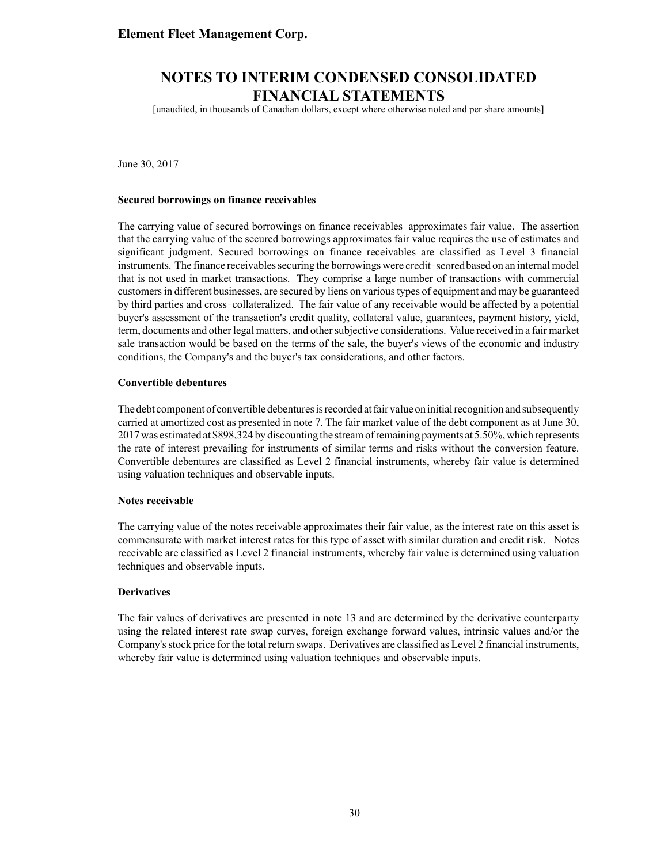# **NOTES TO INTERIM CONDENSED CONSOLIDATED FINANCIAL STATEMENTS**

[unaudited, in thousands of Canadian dollars, except where otherwise noted and per share amounts]

June 30, 2017

#### **Secured borrowings on finance receivables**

The carrying value of secured borrowings on finance receivables approximates fair value. The assertion that the carrying value of the secured borrowings approximates fair value requires the use of estimates and significant judgment. Secured borrowings on finance receivables are classified as Level 3 financial instruments. The finance receivables securing the borrowings were credit-scored based on an internal model that is not used in market transactions. They comprise a large number of transactions with commercial customers in different businesses, are secured by liens on various types of equipment and may be guaranteed by third parties and cross collateralized. The fair value of any receivable would be affected by a potential buyer's assessment of the transaction's credit quality, collateral value, guarantees, payment history, yield, term, documents and other legal matters, and other subjective considerations. Value received in a fair market sale transaction would be based on the terms of the sale, the buyer's views of the economic and industry conditions, the Company's and the buyer's tax considerations, and other factors.

#### **Convertible debentures**

The debt component of convertible debentures is recorded at fair value on initial recognition and subsequently carried at amortized cost as presented in note 7. The fair market value of the debt component as at June 30, 2017was estimated at \$898,324 by discounting the stream of remaining payments at 5.50%, which represents the rate of interest prevailing for instruments of similar terms and risks without the conversion feature. Convertible debentures are classified as Level 2 financial instruments, whereby fair value is determined using valuation techniques and observable inputs.

#### **Notes receivable**

The carrying value of the notes receivable approximates their fair value, as the interest rate on this asset is commensurate with market interest rates for this type of asset with similar duration and credit risk. Notes receivable are classified as Level 2 financial instruments, whereby fair value is determined using valuation techniques and observable inputs.

#### **Derivatives**

The fair values of derivatives are presented in note 13 and are determined by the derivative counterparty using the related interest rate swap curves, foreign exchange forward values, intrinsic values and/or the Company's stock price for the total return swaps. Derivatives are classified as Level 2 financial instruments, whereby fair value is determined using valuation techniques and observable inputs.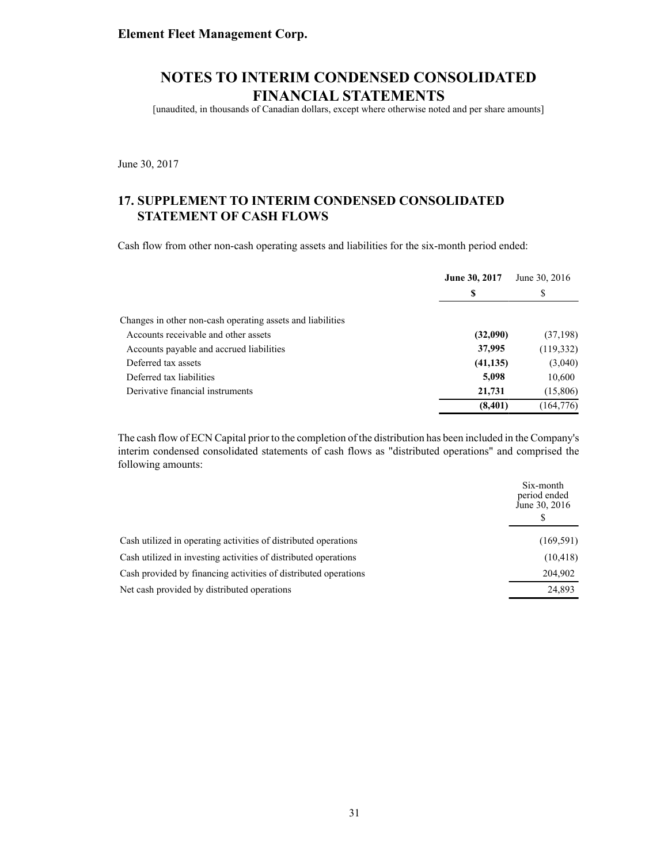[unaudited, in thousands of Canadian dollars, except where otherwise noted and per share amounts]

June 30, 2017

### **17. SUPPLEMENT TO INTERIM CONDENSED CONSOLIDATED STATEMENT OF CASH FLOWS**

Cash flow from other non-cash operating assets and liabilities for the six-month period ended:

|                                                            | <b>June 30, 2017</b> | June 30, 2016 |
|------------------------------------------------------------|----------------------|---------------|
|                                                            | S                    | S             |
| Changes in other non-cash operating assets and liabilities |                      |               |
| Accounts receivable and other assets                       | (32,090)             | (37, 198)     |
| Accounts payable and accrued liabilities                   | 37,995               | (119, 332)    |
| Deferred tax assets                                        | (41, 135)            | (3,040)       |
| Deferred tax liabilities                                   | 5,098                | 10,600        |
| Derivative financial instruments                           | 21,731               | (15,806)      |
|                                                            | (8,401)              | (164, 776)    |

The cash flow of ECN Capital prior to the completion of the distribution has been included in the Company's interim condensed consolidated statements of cash flows as "distributed operations" and comprised the following amounts:

|                                                                 | Six-month<br>period ended<br>June 30, 2016 |
|-----------------------------------------------------------------|--------------------------------------------|
| Cash utilized in operating activities of distributed operations | (169, 591)                                 |
| Cash utilized in investing activities of distributed operations | (10, 418)                                  |
| Cash provided by financing activities of distributed operations | 204,902                                    |
| Net cash provided by distributed operations                     | 24,893                                     |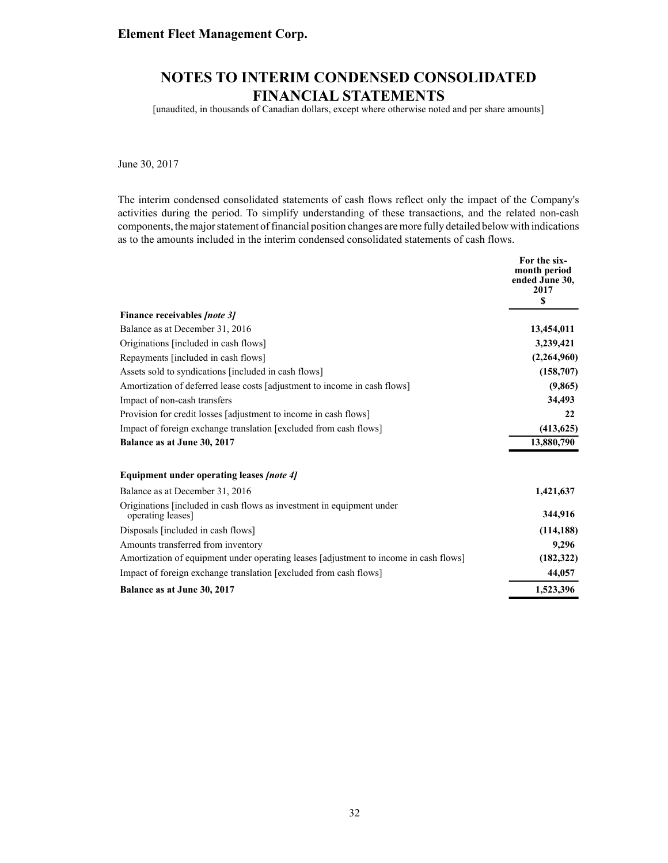# **NOTES TO INTERIM CONDENSED CONSOLIDATED FINANCIAL STATEMENTS**

[unaudited, in thousands of Canadian dollars, except where otherwise noted and per share amounts]

June 30, 2017

The interim condensed consolidated statements of cash flows reflect only the impact of the Company's activities during the period. To simplify understanding of these transactions, and the related non-cash components, the major statement of financial position changes are more fully detailed below with indications as to the amounts included in the interim condensed consolidated statements of cash flows.

|                                                                                            | For the six-<br>month period |
|--------------------------------------------------------------------------------------------|------------------------------|
|                                                                                            | ended June 30,<br>2017       |
|                                                                                            | S                            |
| Finance receivables <i>[note 3]</i>                                                        |                              |
| Balance as at December 31, 2016                                                            | 13,454,011                   |
| Originations [included in cash flows]                                                      | 3,239,421                    |
| Repayments [included in cash flows]                                                        | (2,264,960)                  |
| Assets sold to syndications [included in cash flows]                                       | (158,707)                    |
| Amortization of deferred lease costs [adjustment to income in cash flows]                  | (9, 865)                     |
| Impact of non-cash transfers                                                               | 34,493                       |
| Provision for credit losses [adjustment to income in cash flows]                           | 22                           |
| Impact of foreign exchange translation [excluded from cash flows]                          | (413, 625)                   |
| Balance as at June 30, 2017                                                                | 13,880,790                   |
| Equipment under operating leases <i>[note 4]</i>                                           |                              |
| Balance as at December 31, 2016                                                            | 1,421,637                    |
| Originations [included in cash flows as investment in equipment under<br>operating leases] | 344,916                      |
| Disposals [included in cash flows]                                                         | (114, 188)                   |
| Amounts transferred from inventory                                                         | 9,296                        |
| Amortization of equipment under operating leases [adjustment to income in cash flows]      | (182, 322)                   |
| Impact of foreign exchange translation [excluded from cash flows]                          | 44,057                       |
| Balance as at June 30, 2017                                                                | 1,523,396                    |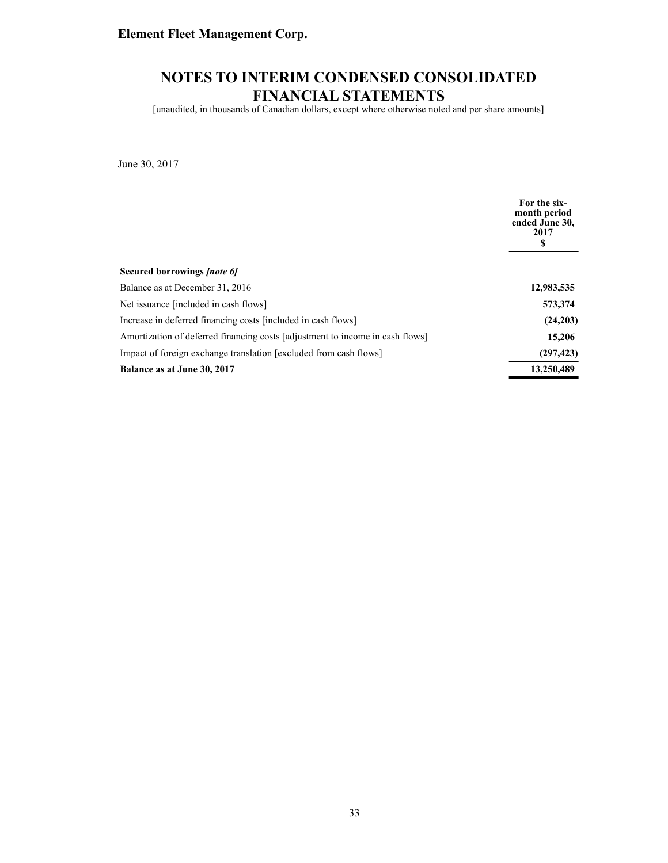# **NOTES TO INTERIM CONDENSED CONSOLIDATED FINANCIAL STATEMENTS**

[unaudited, in thousands of Canadian dollars, except where otherwise noted and per share amounts]

June 30, 2017

|                                                                               | For the six-<br>month period<br>ended June 30,<br>2017<br>S |
|-------------------------------------------------------------------------------|-------------------------------------------------------------|
| Secured borrowings <i>[note 6]</i>                                            |                                                             |
| Balance as at December 31, 2016                                               | 12,983,535                                                  |
| Net issuance [included in cash flows]                                         | 573,374                                                     |
| Increase in deferred financing costs [included in cash flows]                 | (24,203)                                                    |
| Amortization of deferred financing costs [adjustment to income in cash flows] | 15,206                                                      |
| Impact of foreign exchange translation [excluded from cash flows]             | (297, 423)                                                  |
| Balance as at June 30, 2017                                                   | 13,250,489                                                  |